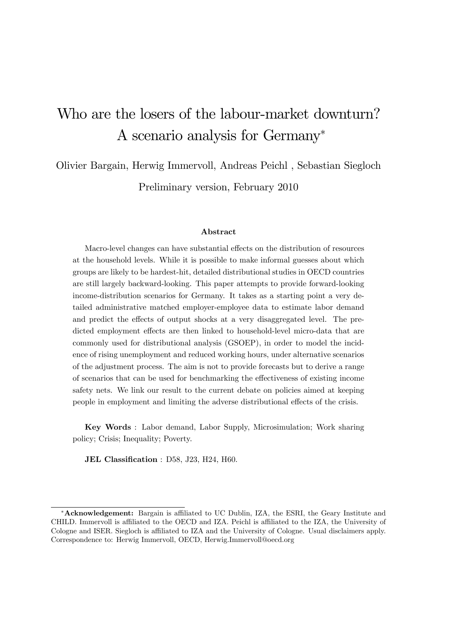# Who are the losers of the labour-market downturn? A scenario analysis for Germany

Olivier Bargain, Herwig Immervoll, Andreas Peichl , Sebastian Siegloch

Preliminary version, February 2010

#### Abstract

Macro-level changes can have substantial effects on the distribution of resources at the household levels. While it is possible to make informal guesses about which groups are likely to be hardest-hit, detailed distributional studies in OECD countries are still largely backward-looking. This paper attempts to provide forward-looking income-distribution scenarios for Germany. It takes as a starting point a very detailed administrative matched employer-employee data to estimate labor demand and predict the effects of output shocks at a very disaggregated level. The predicted employment effects are then linked to household-level micro-data that are commonly used for distributional analysis (GSOEP), in order to model the incidence of rising unemployment and reduced working hours, under alternative scenarios of the adjustment process. The aim is not to provide forecasts but to derive a range of scenarios that can be used for benchmarking the effectiveness of existing income safety nets. We link our result to the current debate on policies aimed at keeping people in employment and limiting the adverse distributional effects of the crisis.

Key Words : Labor demand, Labor Supply, Microsimulation; Work sharing policy; Crisis; Inequality; Poverty.

JEL Classification : D58, J23, H24, H60.

<sup>\*</sup>Acknowledgement: Bargain is affiliated to UC Dublin, IZA, the ESRI, the Geary Institute and CHILD. Immervoll is affiliated to the OECD and IZA. Peichl is affiliated to the IZA, the University of Cologne and ISER. Siegloch is affiliated to IZA and the University of Cologne. Usual disclaimers apply. Correspondence to: Herwig Immervoll, OECD, Herwig.Immervoll@oecd.org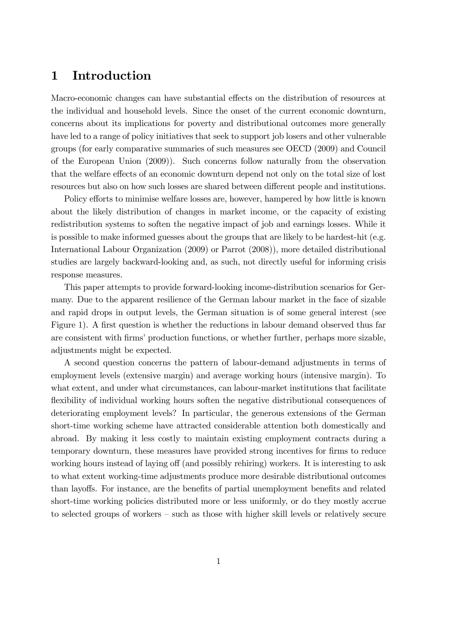# 1 Introduction

Macro-economic changes can have substantial effects on the distribution of resources at the individual and household levels. Since the onset of the current economic downturn, concerns about its implications for poverty and distributional outcomes more generally have led to a range of policy initiatives that seek to support job losers and other vulnerable groups (for early comparative summaries of such measures see OECD (2009) and Council of the European Union (2009)). Such concerns follow naturally from the observation that the welfare effects of an economic downturn depend not only on the total size of lost resources but also on how such losses are shared between different people and institutions.

Policy efforts to minimise welfare losses are, however, hampered by how little is known about the likely distribution of changes in market income, or the capacity of existing redistribution systems to soften the negative impact of job and earnings losses. While it is possible to make informed guesses about the groups that are likely to be hardest-hit (e.g. International Labour Organization (2009) or Parrot (2008)), more detailed distributional studies are largely backward-looking and, as such, not directly useful for informing crisis response measures.

This paper attempts to provide forward-looking income-distribution scenarios for Germany. Due to the apparent resilience of the German labour market in the face of sizable and rapid drops in output levels, the German situation is of some general interest (see Figure 1). A first question is whether the reductions in labour demand observed thus far are consistent with firms' production functions, or whether further, perhaps more sizable, adjustments might be expected.

A second question concerns the pattern of labour-demand adjustments in terms of employment levels (extensive margin) and average working hours (intensive margin). To what extent, and under what circumstances, can labour-market institutions that facilitate flexibility of individual working hours soften the negative distributional consequences of deteriorating employment levels? In particular, the generous extensions of the German short-time working scheme have attracted considerable attention both domestically and abroad. By making it less costly to maintain existing employment contracts during a temporary downturn, these measures have provided strong incentives for firms to reduce working hours instead of laying off (and possibly rehiring) workers. It is interesting to ask to what extent working-time adjustments produce more desirable distributional outcomes than layoffs. For instance, are the benefits of partial unemployment benefits and related short-time working policies distributed more or less uniformly, or do they mostly accrue to selected groups of workers  $-$  such as those with higher skill levels or relatively secure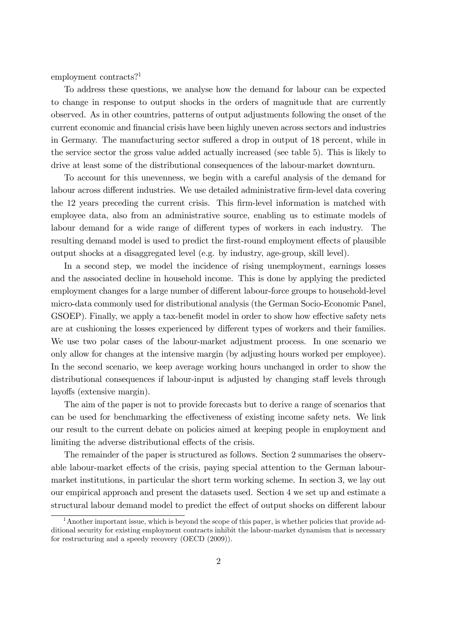employment contracts?<sup>1</sup>

To address these questions, we analyse how the demand for labour can be expected to change in response to output shocks in the orders of magnitude that are currently observed. As in other countries, patterns of output adjustments following the onset of the current economic and Önancial crisis have been highly uneven across sectors and industries in Germany. The manufacturing sector suffered a drop in output of 18 percent, while in the service sector the gross value added actually increased (see table 5). This is likely to drive at least some of the distributional consequences of the labour-market downturn.

To account for this unevenness, we begin with a careful analysis of the demand for labour across different industries. We use detailed administrative firm-level data covering the 12 years preceding the current crisis. This Örm-level information is matched with employee data, also from an administrative source, enabling us to estimate models of labour demand for a wide range of different types of workers in each industry. The resulting demand model is used to predict the first-round employment effects of plausible output shocks at a disaggregated level (e.g. by industry, age-group, skill level).

In a second step, we model the incidence of rising unemployment, earnings losses and the associated decline in household income. This is done by applying the predicted employment changes for a large number of different labour-force groups to household-level micro-data commonly used for distributional analysis (the German Socio-Economic Panel, GSOEP). Finally, we apply a tax-benefit model in order to show how effective safety nets are at cushioning the losses experienced by different types of workers and their families. We use two polar cases of the labour-market adjustment process. In one scenario we only allow for changes at the intensive margin (by adjusting hours worked per employee). In the second scenario, we keep average working hours unchanged in order to show the distributional consequences if labour-input is adjusted by changing staff levels through layoffs (extensive margin).

The aim of the paper is not to provide forecasts but to derive a range of scenarios that can be used for benchmarking the effectiveness of existing income safety nets. We link our result to the current debate on policies aimed at keeping people in employment and limiting the adverse distributional effects of the crisis.

The remainder of the paper is structured as follows. Section 2 summarises the observable labour-market effects of the crisis, paying special attention to the German labourmarket institutions, in particular the short term working scheme. In section 3, we lay out our empirical approach and present the datasets used. Section 4 we set up and estimate a structural labour demand model to predict the effect of output shocks on different labour

<sup>&</sup>lt;sup>1</sup>Another important issue, which is beyond the scope of this paper, is whether policies that provide additional security for existing employment contracts inhibit the labour-market dynamism that is necessary for restructuring and a speedy recovery (OECD (2009)).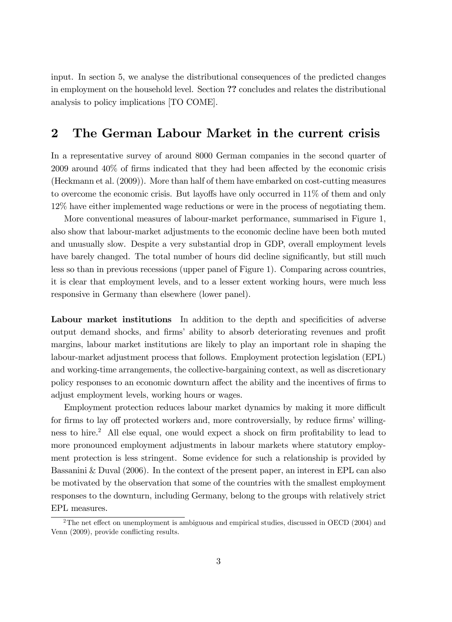input. In section 5, we analyse the distributional consequences of the predicted changes in employment on the household level. Section ?? concludes and relates the distributional analysis to policy implications [TO COME].

## 2 The German Labour Market in the current crisis

In a representative survey of around 8000 German companies in the second quarter of  $2009$  around  $40\%$  of firms indicated that they had been affected by the economic crisis (Heckmann et al. (2009)). More than half of them have embarked on cost-cutting measures to overcome the economic crisis. But layoffs have only occurred in  $11\%$  of them and only 12% have either implemented wage reductions or were in the process of negotiating them.

More conventional measures of labour-market performance, summarised in Figure 1, also show that labour-market adjustments to the economic decline have been both muted and unusually slow. Despite a very substantial drop in GDP, overall employment levels have barely changed. The total number of hours did decline significantly, but still much less so than in previous recessions (upper panel of Figure 1). Comparing across countries, it is clear that employment levels, and to a lesser extent working hours, were much less responsive in Germany than elsewhere (lower panel).

Labour market institutions In addition to the depth and specificities of adverse output demand shocks, and firms' ability to absorb deteriorating revenues and profit margins, labour market institutions are likely to play an important role in shaping the labour-market adjustment process that follows. Employment protection legislation (EPL) and working-time arrangements, the collective-bargaining context, as well as discretionary policy responses to an economic downturn affect the ability and the incentives of firms to adjust employment levels, working hours or wages.

Employment protection reduces labour market dynamics by making it more difficult for firms to lay off protected workers and, more controversially, by reduce firms' willingness to hire.<sup>2</sup> All else equal, one would expect a shock on firm profitability to lead to more pronounced employment adjustments in labour markets where statutory employment protection is less stringent. Some evidence for such a relationship is provided by Bassanini & Duval (2006). In the context of the present paper, an interest in EPL can also be motivated by the observation that some of the countries with the smallest employment responses to the downturn, including Germany, belong to the groups with relatively strict EPL measures.

<sup>&</sup>lt;sup>2</sup>The net effect on unemployment is ambiguous and empirical studies, discussed in OECD (2004) and Venn (2009), provide conflicting results.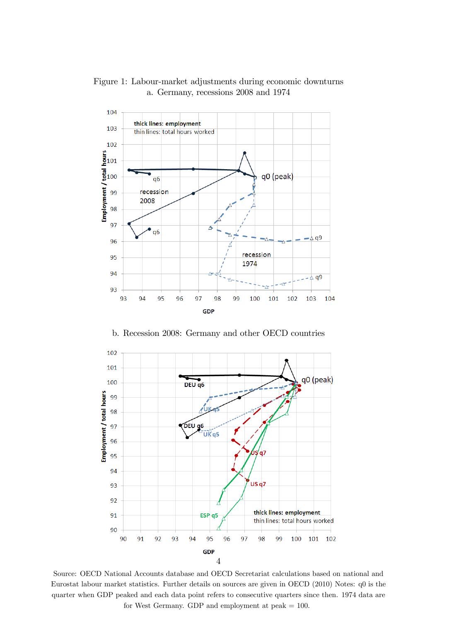

Figure 1: Labour-market adjustments during economic downturns a. Germany, recessions 2008 and 1974



b. Recession 2008: Germany and other OECD countries

Source: OECD National Accounts database and OECD Secretariat calculations based on national and Eurostat labour market statistics. Further details on sources are given in OECD (2010) Notes: q0 is the quarter when GDP peaked and each data point refers to consecutive quarters since then. 1974 data are for West Germany. GDP and employment at peak  $= 100$ .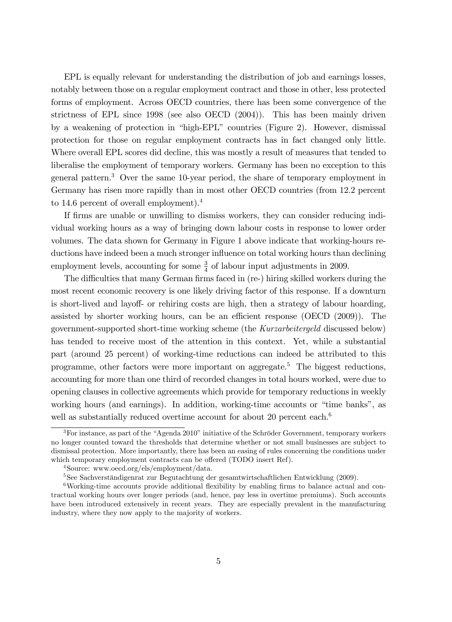EPL is equally relevant for understanding the distribution of job and earnings losses, notably between those on a regular employment contract and those in other, less protected forms of employment. Across OECD countries, there has been some convergence of the strictness of EPL since 1998 (see also OECD (2004)). This has been mainly driven by a weakening of protection in "high-EPL" countries (Figure 2). However, dismissal protection for those on regular employment contracts has in fact changed only little. Where overall EPL scores did decline, this was mostly a result of measures that tended to liberalise the employment of temporary workers. Germany has been no exception to this general pattern.<sup>3</sup> Over the same 10-year period, the share of temporary employment in Germany has risen more rapidly than in most other OECD countries (from 12.2 percent to 14.6 percent of overall employment).<sup>4</sup>

If firms are unable or unwilling to dismiss workers, they can consider reducing individual working hours as a way of bringing down labour costs in response to lower order volumes. The data shown for Germany in Figure 1 above indicate that working-hours reductions have indeed been a much stronger influence on total working hours than declining employment levels, accounting for some  $\frac{3}{4}$  of labour input adjustments in 2009.

The difficulties that many German firms faced in (re-) hiring skilled workers during the most recent economic recovery is one likely driving factor of this response. If a downturn is short-lived and layoff- or rehiring costs are high, then a strategy of labour hoarding, assisted by shorter working hours, can be an efficient response  $(OECD (2009))$ . The government-supported short-time working scheme (the Kurzarbeitergeld discussed below) has tended to receive most of the attention in this context. Yet, while a substantial part (around 25 percent) of working-time reductions can indeed be attributed to this programme, other factors were more important on aggregate.<sup>5</sup> The biggest reductions, accounting for more than one third of recorded changes in total hours worked, were due to opening clauses in collective agreements which provide for temporary reductions in weekly working hours (and earnings). In addition, working-time accounts or "time banks", as well as substantially reduced overtime account for about 20 percent each.<sup>6</sup>

 ${}^{3}$ For instance, as part of the "Agenda 2010" initiative of the Schröder Government, temporary workers no longer counted toward the thresholds that determine whether or not small businesses are subject to dismissal protection. More importantly, there has been an easing of rules concerning the conditions under which temporary employment contracts can be offered (TODO insert Ref).

<sup>4</sup>Source: www.oecd.org/els/employment/data.

<sup>&</sup>lt;sup>5</sup>See Sachverständigenrat zur Begutachtung der gesamtwirtschaftlichen Entwicklung (2009).

 $6$ Working-time accounts provide additional flexibility by enabling firms to balance actual and contractual working hours over longer periods (and, hence, pay less in overtime premiums). Such accounts have been introduced extensively in recent years. They are especially prevalent in the manufacturing industry, where they now apply to the majority of workers.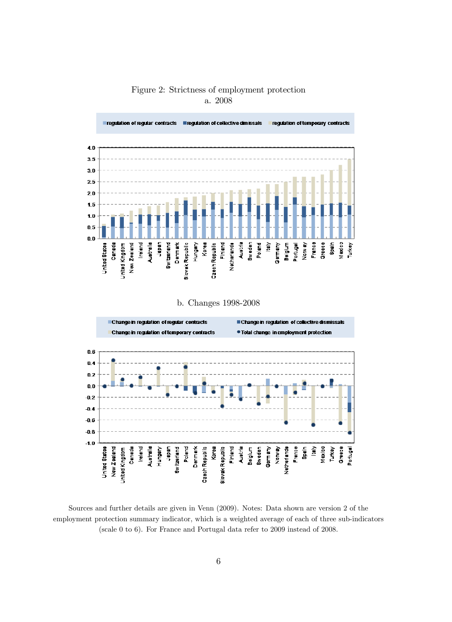

## Figure 2: Strictness of employment protection a. 2008

b. Changes 1998-2008



Sources and further details are given in Venn (2009). Notes: Data shown are version 2 of the employment protection summary indicator, which is a weighted average of each of three sub-indicators (scale 0 to 6). For France and Portugal data refer to 2009 instead of 2008.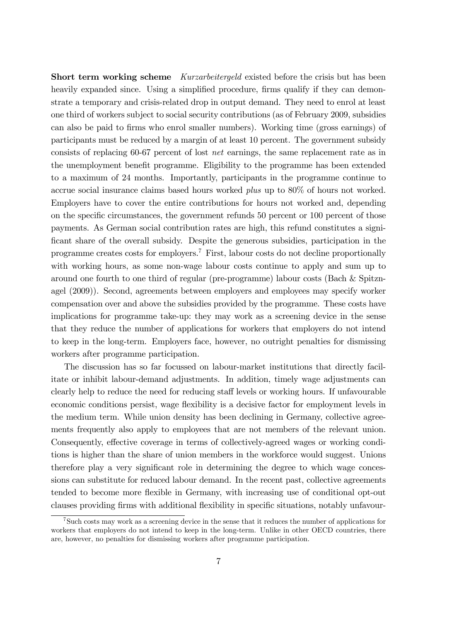Short term working scheme Kurzarbeitergeld existed before the crisis but has been heavily expanded since. Using a simplified procedure, firms qualify if they can demonstrate a temporary and crisis-related drop in output demand. They need to enrol at least one third of workers subject to social security contributions (as of February 2009, subsidies can also be paid to Örms who enrol smaller numbers). Working time (gross earnings) of participants must be reduced by a margin of at least 10 percent. The government subsidy consists of replacing 60-67 percent of lost net earnings, the same replacement rate as in the unemployment benefit programme. Eligibility to the programme has been extended to a maximum of 24 months. Importantly, participants in the programme continue to accrue social insurance claims based hours worked plus up to 80% of hours not worked. Employers have to cover the entire contributions for hours not worked and, depending on the specific circumstances, the government refunds 50 percent or 100 percent of those payments. As German social contribution rates are high, this refund constitutes a significant share of the overall subsidy. Despite the generous subsidies, participation in the programme creates costs for employers.<sup>7</sup> First, labour costs do not decline proportionally with working hours, as some non-wage labour costs continue to apply and sum up to around one fourth to one third of regular (pre-programme) labour costs (Bach & Spitznagel (2009)). Second, agreements between employers and employees may specify worker compensation over and above the subsidies provided by the programme. These costs have implications for programme take-up: they may work as a screening device in the sense that they reduce the number of applications for workers that employers do not intend to keep in the long-term. Employers face, however, no outright penalties for dismissing workers after programme participation.

The discussion has so far focussed on labour-market institutions that directly facilitate or inhibit labour-demand adjustments. In addition, timely wage adjustments can clearly help to reduce the need for reducing staff levels or working hours. If unfavourable economic conditions persist, wage flexibility is a decisive factor for employment levels in the medium term. While union density has been declining in Germany, collective agreements frequently also apply to employees that are not members of the relevant union. Consequently, effective coverage in terms of collectively-agreed wages or working conditions is higher than the share of union members in the workforce would suggest. Unions therefore play a very significant role in determining the degree to which wage concessions can substitute for reduced labour demand. In the recent past, collective agreements tended to become more áexible in Germany, with increasing use of conditional opt-out clauses providing firms with additional flexibility in specific situations, notably unfavour-

<sup>7</sup>Such costs may work as a screening device in the sense that it reduces the number of applications for workers that employers do not intend to keep in the long-term. Unlike in other OECD countries, there are, however, no penalties for dismissing workers after programme participation.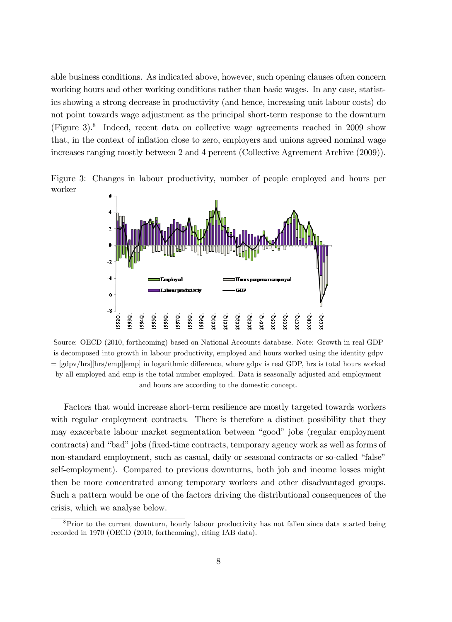able business conditions. As indicated above, however, such opening clauses often concern working hours and other working conditions rather than basic wages. In any case, statistics showing a strong decrease in productivity (and hence, increasing unit labour costs) do not point towards wage adjustment as the principal short-term response to the downturn (Figure 3).<sup>8</sup> Indeed, recent data on collective wage agreements reached in 2009 show that, in the context of inflation close to zero, employers and unions agreed nominal wage increases ranging mostly between 2 and 4 percent (Collective Agreement Archive (2009)).

Figure 3: Changes in labour productivity, number of people employed and hours per worker



Source: OECD (2010, forthcoming) based on National Accounts database. Note: Growth in real GDP is decomposed into growth in labour productivity, employed and hours worked using the identity gdpv  $=$  [gdpv/hrs][hrs/emp][emp] in logarithmic difference, where gdpv is real GDP, hrs is total hours worked by all employed and emp is the total number employed. Data is seasonally adjusted and employment and hours are according to the domestic concept.

Factors that would increase short-term resilience are mostly targeted towards workers with regular employment contracts. There is therefore a distinct possibility that they may exacerbate labour market segmentation between "good" jobs (regular employment contracts) and "bad" jobs (fixed-time contracts, temporary agency work as well as forms of non-standard employment, such as casual, daily or seasonal contracts or so-called "false" self-employment). Compared to previous downturns, both job and income losses might then be more concentrated among temporary workers and other disadvantaged groups. Such a pattern would be one of the factors driving the distributional consequences of the crisis, which we analyse below.

<sup>8</sup>Prior to the current downturn, hourly labour productivity has not fallen since data started being recorded in 1970 (OECD (2010, forthcoming), citing IAB data).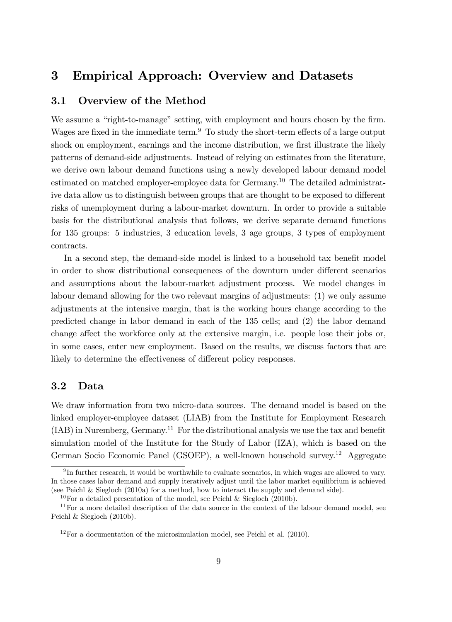# 3 Empirical Approach: Overview and Datasets

## 3.1 Overview of the Method

We assume a "right-to-manage" setting, with employment and hours chosen by the firm. Wages are fixed in the immediate term.<sup>9</sup> To study the short-term effects of a large output shock on employment, earnings and the income distribution, we first illustrate the likely patterns of demand-side adjustments. Instead of relying on estimates from the literature, we derive own labour demand functions using a newly developed labour demand model estimated on matched employer-employee data for Germany.<sup>10</sup> The detailed administrative data allow us to distinguish between groups that are thought to be exposed to different risks of unemployment during a labour-market downturn. In order to provide a suitable basis for the distributional analysis that follows, we derive separate demand functions for 135 groups: 5 industries, 3 education levels, 3 age groups, 3 types of employment contracts.

In a second step, the demand-side model is linked to a household tax benefit model in order to show distributional consequences of the downturn under different scenarios and assumptions about the labour-market adjustment process. We model changes in labour demand allowing for the two relevant margins of adjustments: (1) we only assume adjustments at the intensive margin, that is the working hours change according to the predicted change in labor demand in each of the 135 cells; and (2) the labor demand change affect the workforce only at the extensive margin, i.e. people lose their jobs or, in some cases, enter new employment. Based on the results, we discuss factors that are likely to determine the effectiveness of different policy responses.

## 3.2 Data

We draw information from two micro-data sources. The demand model is based on the linked employer-employee dataset (LIAB) from the Institute for Employment Research  $(IB)$  in Nuremberg, Germany.<sup>11</sup> For the distributional analysis we use the tax and benefit simulation model of the Institute for the Study of Labor (IZA), which is based on the German Socio Economic Panel (GSOEP), a well-known household survey.<sup>12</sup> Aggregate

<sup>&</sup>lt;sup>9</sup>In further research, it would be worthwhile to evaluate scenarios, in which wages are allowed to vary. In those cases labor demand and supply iteratively adjust until the labor market equilibrium is achieved (see Peichl & Siegloch (2010a) for a method, how to interact the supply and demand side).

<sup>&</sup>lt;sup>10</sup>For a detailed presentation of the model, see Peichl & Siegloch (2010b).

 $11$  For a more detailed description of the data source in the context of the labour demand model, see Peichl & Siegloch (2010b).

 $12$  For a documentation of the microsimulation model, see Peichl et al. (2010).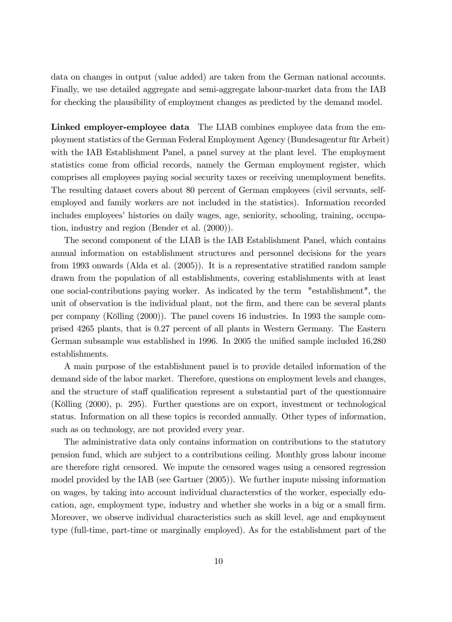data on changes in output (value added) are taken from the German national accounts. Finally, we use detailed aggregate and semi-aggregate labour-market data from the IAB for checking the plausibility of employment changes as predicted by the demand model.

Linked employer-employee data The LIAB combines employee data from the employment statistics of the German Federal Employment Agency (Bundesagentur für Arbeit) with the IAB Establishment Panel, a panel survey at the plant level. The employment statistics come from official records, namely the German employment register, which comprises all employees paying social security taxes or receiving unemployment benefits. The resulting dataset covers about 80 percent of German employees (civil servants, selfemployed and family workers are not included in the statistics). Information recorded includes employees' histories on daily wages, age, seniority, schooling, training, occupation, industry and region (Bender et al. (2000)).

The second component of the LIAB is the IAB Establishment Panel, which contains annual information on establishment structures and personnel decisions for the years from 1993 onwards (Alda et al.  $(2005)$ ). It is a representative stratified random sample drawn from the population of all establishments, covering establishments with at least one social-contributions paying worker. As indicated by the term "establishment", the unit of observation is the individual plant, not the firm, and there can be several plants per company (Kˆlling (2000)). The panel covers 16 industries. In 1993 the sample comprised 4265 plants, that is 0.27 percent of all plants in Western Germany. The Eastern German subsample was established in 1996. In 2005 the unified sample included  $16,280$ establishments.

A main purpose of the establishment panel is to provide detailed information of the demand side of the labor market. Therefore, questions on employment levels and changes, and the structure of staff qualification represent a substantial part of the questionnaire (Kölling (2000), p. 295). Further questions are on export, investment or technological status. Information on all these topics is recorded annually. Other types of information, such as on technology, are not provided every year.

The administrative data only contains information on contributions to the statutory pension fund, which are subject to a contributions ceiling. Monthly gross labour income are therefore right censored. We impute the censored wages using a censored regression model provided by the IAB (see Gartner (2005)). We further impute missing information on wages, by taking into account individual characterstics of the worker, especially education, age, employment type, industry and whether she works in a big or a small firm. Moreover, we observe individual characteristics such as skill level, age and employment type (full-time, part-time or marginally employed). As for the establishment part of the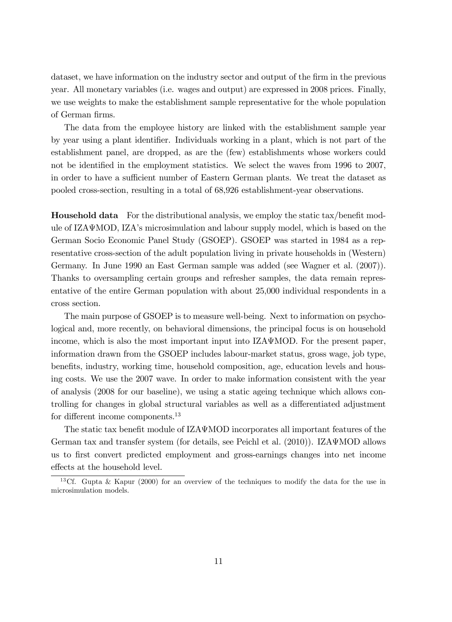dataset, we have information on the industry sector and output of the firm in the previous year. All monetary variables (i.e. wages and output) are expressed in 2008 prices. Finally, we use weights to make the establishment sample representative for the whole population of German firms.

The data from the employee history are linked with the establishment sample year by year using a plant identifier. Individuals working in a plant, which is not part of the establishment panel, are dropped, as are the (few) establishments whose workers could not be identified in the employment statistics. We select the waves from 1996 to 2007, in order to have a sufficient number of Eastern German plants. We treat the dataset as pooled cross-section, resulting in a total of 68,926 establishment-year observations.

**Household data** For the distributional analysis, we employ the static  $\text{tax}/\text{beneft}$  module of  $IZA\Psi MOD$ ,  $IZA$ 's microsimulation and labour supply model, which is based on the German Socio Economic Panel Study (GSOEP). GSOEP was started in 1984 as a representative cross-section of the adult population living in private households in (Western) Germany. In June 1990 an East German sample was added (see Wagner et al. (2007)). Thanks to oversampling certain groups and refresher samples, the data remain representative of the entire German population with about 25,000 individual respondents in a cross section.

The main purpose of GSOEP is to measure well-being. Next to information on psychological and, more recently, on behavioral dimensions, the principal focus is on household income, which is also the most important input into IZAVMOD. For the present paper, information drawn from the GSOEP includes labour-market status, gross wage, job type, benefits, industry, working time, household composition, age, education levels and housing costs. We use the 2007 wave. In order to make information consistent with the year of analysis (2008 for our baseline), we using a static ageing technique which allows controlling for changes in global structural variables as well as a differentiated adjustment for different income components. $^{13}$ 

The static tax benefit module of  $IZA\Psi MOD$  incorporates all important features of the German tax and transfer system (for details, see Peichl et al.  $(2010)$ ). IZAVMOD allows us to Örst convert predicted employment and gross-earnings changes into net income effects at the household level.

<sup>&</sup>lt;sup>13</sup>Cf. Gupta & Kapur (2000) for an overview of the techniques to modify the data for the use in microsimulation models.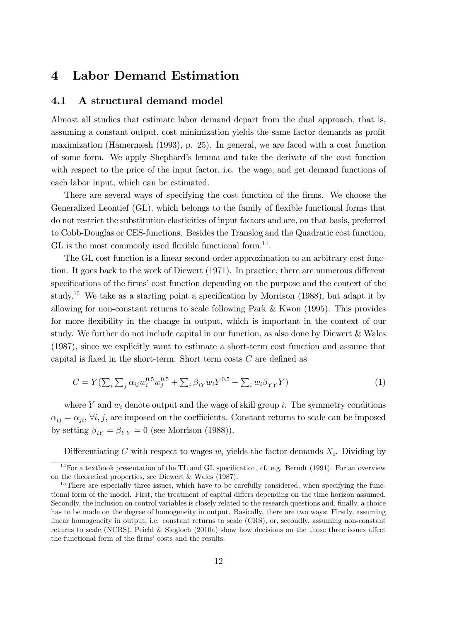# 4 Labor Demand Estimation

## 4.1 A structural demand model

Almost all studies that estimate labor demand depart from the dual approach, that is, assuming a constant output, cost minimization yields the same factor demands as profit maximization (Hamermesh (1993), p. 25). In general, we are faced with a cost function of some form. We apply Shephardís lemma and take the derivate of the cost function with respect to the price of the input factor, i.e. the wage, and get demand functions of each labor input, which can be estimated.

There are several ways of specifying the cost function of the firms. We choose the Generalized Leontief (GL), which belongs to the family of flexible functional forms that do not restrict the substitution elasticities of input factors and are, on that basis, preferred to Cobb-Douglas or CES-functions. Besides the Translog and the Quadratic cost function, GL is the most commonly used flexible functional form.<sup>14</sup>.

The GL cost function is a linear second-order approximation to an arbitrary cost function. It goes back to the work of Diewert  $(1971)$ . In practice, there are numerous different specifications of the firms' cost function depending on the purpose and the context of the study.<sup>15</sup> We take as a starting point a specification by Morrison  $(1988)$ , but adapt it by allowing for non-constant returns to scale following Park & Kwon (1995). This provides for more áexibility in the change in output, which is important in the context of our study. We further do not include capital in our function, as also done by Diewert & Wales (1987), since we explicitly want to estimate a short-term cost function and assume that capital is fixed in the short-term. Short term costs  $C$  are defined as

$$
C = Y(\sum_{i} \sum_{j} \alpha_{ij} w_i^{0.5} w_j^{0.5} + \sum_{i} \beta_{iY} w_i Y^{0.5} + \sum_{i} w_i \beta_{iY} Y) \tag{1}
$$

where Y and  $w_i$  denote output and the wage of skill group i. The symmetry conditions  $\alpha_{ij} = \alpha_{ji}, \forall i, j$ , are imposed on the coefficients. Constant returns to scale can be imposed by setting  $\beta_{iY} = \beta_{YY} = 0$  (see Morrison (1988)).

Differentiating C with respect to wages  $w_i$  yields the factor demands  $X_i$ . Dividing by

 $14$  For a textbook presentation of the TL and GL specification, cf. e.g. Berndt (1991). For an overview on the theoretical properties, see Diewert & Wales (1987).

 $15$ There are especially three issues, which have to be carefully considered, when specifying the functional form of the model. First, the treatment of capital differs depending on the time horizon assumed. Secondly, the inclusion on control variables is closely related to the research questions and, finally, a choice has to be made on the degree of homogeneity in output. Basically, there are two ways: Firstly, assuming linear homogeneity in output, i.e. constant returns to scale (CRS), or, secondly, assuming non-constant returns to scale (NCRS). Peichl & Siegloch (2010a) show how decisions on the those three issues affect the functional form of the firms' costs and the results.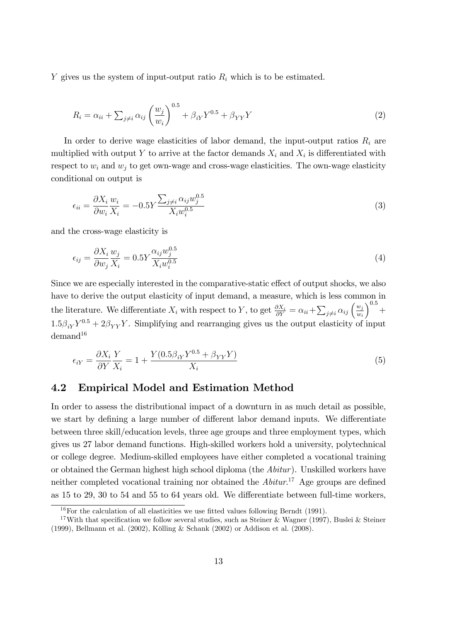Y gives us the system of input-output ratio  $R_i$  which is to be estimated.

$$
R_i = \alpha_{ii} + \sum_{j \neq i} \alpha_{ij} \left(\frac{w_j}{w_i}\right)^{0.5} + \beta_{iY} Y^{0.5} + \beta_{YY} Y \tag{2}
$$

In order to derive wage elasticities of labor demand, the input-output ratios  $R_i$  are multiplied with output Y to arrive at the factor demands  $X_i$  and  $X_i$  is differentiated with respect to  $w_i$  and  $w_j$  to get own-wage and cross-wage elasticities. The own-wage elasticity conditional on output is

$$
\epsilon_{ii} = \frac{\partial X_i}{\partial w_i} \frac{w_i}{X_i} = -0.5Y \frac{\sum_{j \neq i} \alpha_{ij} w_j^{0.5}}{X_i w_i^{0.5}}
$$
\n
$$
\tag{3}
$$

and the cross-wage elasticity is

$$
\epsilon_{ij} = \frac{\partial X_i}{\partial w_j} \frac{w_j}{X_i} = 0.5Y \frac{\alpha_{ij} w_j^{0.5}}{X_i w_i^{0.5}}
$$
\n
$$
\tag{4}
$$

Since we are especially interested in the comparative-static effect of output shocks, we also have to derive the output elasticity of input demand, a measure, which is less common in the literature. We differentiate  $X_i$  with respect to Y, to get  $\frac{\partial X_i}{\partial Y} = \alpha_{ii} + \sum_{j\neq i} \alpha_{ij} \left( \frac{w_j}{w_i} \right)$  $w_i$  $\big)^{0.5} +$  $1.5\beta_{iY}Y^{0.5} + 2\beta_{iY}Y$ . Simplifying and rearranging gives us the output elasticity of input  $d$ emand<sup>16</sup>

$$
\epsilon_{iY} = \frac{\partial X_i}{\partial Y} \frac{Y}{X_i} = 1 + \frac{Y(0.5\beta_{iY}Y^{0.5} + \beta_{YY}Y)}{X_i}
$$
\n
$$
\tag{5}
$$

## 4.2 Empirical Model and Estimation Method

In order to assess the distributional impact of a downturn in as much detail as possible, we start by defining a large number of different labor demand inputs. We differentiate between three skill/education levels, three age groups and three employment types, which gives us 27 labor demand functions. High-skilled workers hold a university, polytechnical or college degree. Medium-skilled employees have either completed a vocational training or obtained the German highest high school diploma (the Abitur). Unskilled workers have neither completed vocational training nor obtained the  $Abitur$ <sup>17</sup> Age groups are defined as  $15$  to  $29$ ,  $30$  to  $54$  and  $55$  to  $64$  years old. We differentiate between full-time workers,

 $16$  For the calculation of all elasticities we use fitted values following Berndt (1991).

<sup>&</sup>lt;sup>17</sup>With that specification we follow several studies, such as Steiner & Wagner (1997), Buslei & Steiner (1999), Bellmann et al. (2002), Kölling & Schank (2002) or Addison et al. (2008).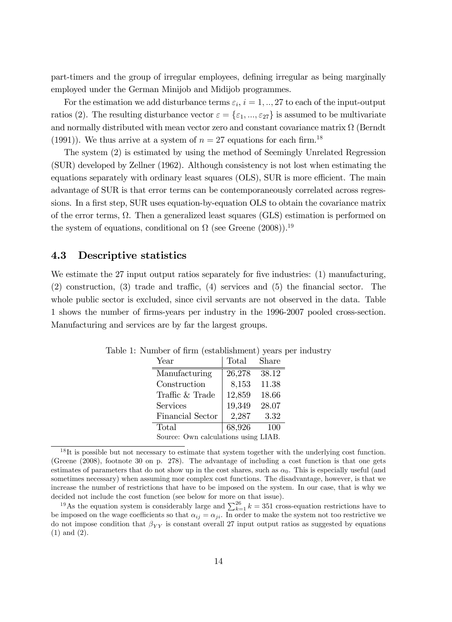part-timers and the group of irregular employees, defining irregular as being marginally employed under the German Minijob and Midijob programmes.

For the estimation we add disturbance terms  $\varepsilon_i$ ,  $i = 1, ..., 27$  to each of the input-output ratios (2). The resulting disturbance vector  $\varepsilon = {\varepsilon_1, ..., \varepsilon_{27}}$  is assumed to be multivariate and normally distributed with mean vector zero and constant covariance matrix  $\Omega$  (Berndt (1991)). We thus arrive at a system of  $n = 27$  equations for each firm.<sup>18</sup>

The system (2) is estimated by using the method of Seemingly Unrelated Regression (SUR) developed by Zellner (1962). Although consistency is not lost when estimating the equations separately with ordinary least squares  $(OLS)$ , SUR is more efficient. The main advantage of SUR is that error terms can be contemporaneously correlated across regressions. In a first step, SUR uses equation-by-equation OLS to obtain the covariance matrix of the error terms,  $\Omega$ . Then a generalized least squares (GLS) estimation is performed on the system of equations, conditional on  $\Omega$  (see Greene (2008)).<sup>19</sup>

#### 4.3 Descriptive statistics

We estimate the  $27$  input output ratios separately for five industries: (1) manufacturing,  $(2)$  construction,  $(3)$  trade and traffic,  $(4)$  services and  $(5)$  the financial sector. The whole public sector is excluded, since civil servants are not observed in the data. Table 1 shows the number of Örms-years per industry in the 1996-2007 pooled cross-section. Manufacturing and services are by far the largest groups.

| Year                                 | Total  | Share |
|--------------------------------------|--------|-------|
| Manufacturing                        | 26,278 | 38.12 |
| Construction                         | 8,153  | 11.38 |
| Traffic & Trade                      | 12,859 | 18.66 |
| Services                             | 19,349 | 28.07 |
| <b>Financial Sector</b>              | 2,287  | 3.32  |
| Total                                | 68,926 | 100   |
| Source: Own calculations using LIAB. |        |       |

Table 1: Number of firm (establishment) years per industry

 $^{18}$ It is possible but not necessary to estimate that system together with the underlying cost function. (Greene (2008), footnote 30 on p. 278). The advantage of including a cost function is that one gets estimates of parameters that do not show up in the cost shares, such as  $\alpha_0$ . This is especially useful (and sometimes necessary) when assuming mor complex cost functions. The disadvantage, however, is that we increase the number of restrictions that have to be imposed on the system. In our case, that is why we decided not include the cost function (see below for more on that issue).

<sup>&</sup>lt;sup>19</sup>As the equation system is considerably large and  $\sum_{k=1}^{26} k = 351$  cross-equation restrictions have to be imposed on the wage coefficients so that  $\alpha_{ij} = \alpha_{ji}$ . In order to make the system not too restrictive we do not impose condition that  $\beta_{YY}$  is constant overall 27 input output ratios as suggested by equations (1) and (2).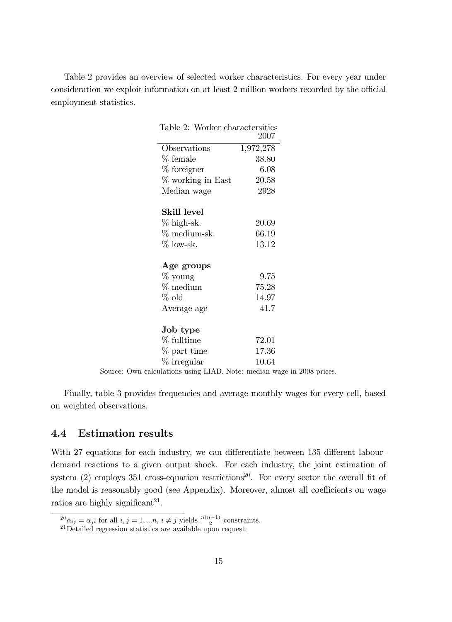Table 2 provides an overview of selected worker characteristics. For every year under consideration we exploit information on at least 2 million workers recorded by the official employment statistics.

| Table 2: Worker charactersitics | 2007      |
|---------------------------------|-----------|
| Observations                    | 1,972,278 |
| $\%$ female                     | 38.80     |
| % foreigner                     | 6.08      |
| % working in East               | 20.58     |
| Median wage                     | 2928      |
| Skill level                     |           |
| % high-sk.                      | 20.69     |
| $\%$ medium-sk.                 | 66.19     |
| $\%$ low-sk.                    | 13.12     |
| Age groups                      |           |
| $\%$ young                      | 9.75      |
| $%$ medium                      | 75.28     |
| $\%$ old                        | 14.97     |
| Average age                     | 41.7      |
| Job type                        |           |
| $%$ fulltime                    | 72.01     |
| % part time                     | 17.36     |
| % irregular                     | 10.64     |

Source: Own calculations using LIAB. Note: median wage in 2008 prices.

Finally, table 3 provides frequencies and average monthly wages for every cell, based on weighted observations.

## 4.4 Estimation results

With 27 equations for each industry, we can differentiate between 135 different labourdemand reactions to a given output shock. For each industry, the joint estimation of system  $(2)$  employs 351 cross-equation restrictions<sup>20</sup>. For every sector the overall fit of the model is reasonably good (see Appendix). Moreover, almost all coefficients on wage ratios are highly significant<sup>21</sup>.

 $\alpha_{ij} = \alpha_{ji}$  for all  $i, j = 1, ..., n$ ,  $i \neq j$  yields  $\frac{n(n-1)}{2}$  constraints.

<sup>21</sup>Detailed regression statistics are available upon request.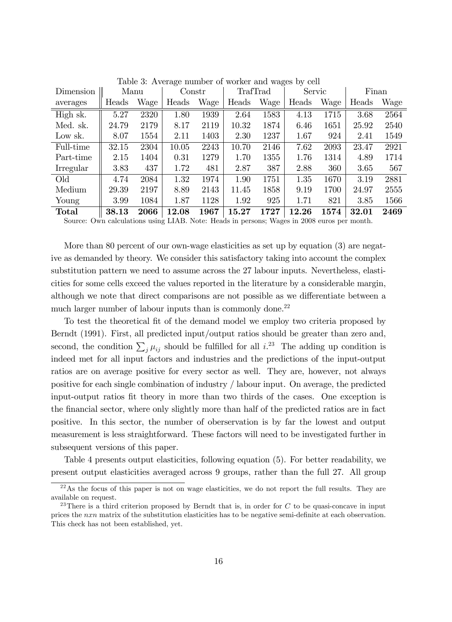| Dimension    | Manu  |      | Constr |      | TrafTrad |      | Servic |      | Finan |      |
|--------------|-------|------|--------|------|----------|------|--------|------|-------|------|
| averages     | Heads | Wage | Heads  | Wage | Heads    | Wage | Heads  | Wage | Heads | Wage |
| High sk.     | 5.27  | 2320 | 1.80   | 1939 | 2.64     | 1583 | 4.13   | 1715 | 3.68  | 2564 |
| Med. sk.     | 24.79 | 2179 | 8.17   | 2119 | 10.32    | 1874 | 6.46   | 1651 | 25.92 | 2540 |
| Low sk.      | 8.07  | 1554 | 2.11   | 1403 | 2.30     | 1237 | 1.67   | 924  | 2.41  | 1549 |
| Full-time    | 32.15 | 2304 | 10.05  | 2243 | 10.70    | 2146 | 7.62   | 2093 | 23.47 | 2921 |
| Part-time    | 2.15  | 1404 | 0.31   | 1279 | 1.70     | 1355 | 1.76   | 1314 | 4.89  | 1714 |
| Irregular    | 3.83  | 437  | 1.72   | 481  | 2.87     | 387  | 2.88   | 360  | 3.65  | 567  |
| Old          | 4.74  | 2084 | 1.32   | 1974 | 1.90     | 1751 | 1.35   | 1670 | 3.19  | 2881 |
| Medium       | 29.39 | 2197 | 8.89   | 2143 | 11.45    | 1858 | 9.19   | 1700 | 24.97 | 2555 |
| Young        | 3.99  | 1084 | 1.87   | 1128 | 1.92     | 925  | 1.71   | 821  | 3.85  | 1566 |
| <b>Total</b> | 38.13 | 2066 | 12.08  | 1967 | 15.27    | 1727 | 12.26  | 1574 | 32.01 | 2469 |

Table 3: Average number of worker and wages by cell

Source: Own calculations using LIAB. Note: Heads in persons; Wages in 2008 euros per month.

More than 80 percent of our own-wage elasticities as set up by equation (3) are negative as demanded by theory. We consider this satisfactory taking into account the complex substitution pattern we need to assume across the 27 labour inputs. Nevertheless, elasticities for some cells exceed the values reported in the literature by a considerable margin, although we note that direct comparisons are not possible as we differentiate between a much larger number of labour inputs than is commonly done.<sup>22</sup>

To test the theoretical Öt of the demand model we employ two criteria proposed by Berndt (1991). First, all predicted input/output ratios should be greater than zero and, second, the condition  $\sum_j \mu_{ij}$  should be fulfilled for all  $i^{23}$ . The adding up condition is indeed met for all input factors and industries and the predictions of the input-output ratios are on average positive for every sector as well. They are, however, not always positive for each single combination of industry / labour input. On average, the predicted input-output ratios fit theory in more than two thirds of the cases. One exception is the financial sector, where only slightly more than half of the predicted ratios are in fact positive. In this sector, the number of oberservation is by far the lowest and output measurement is less straightforward. These factors will need to be investigated further in subsequent versions of this paper.

Table 4 presents output elasticities, following equation (5). For better readability, we present output elasticities averaged across 9 groups, rather than the full 27. All group

 $^{22}$ As the focus of this paper is not on wage elasticities, we do not report the full results. They are available on request.

<sup>&</sup>lt;sup>23</sup>There is a third criterion proposed by Berndt that is, in order for C to be quasi-concave in input prices the  $n x n$  matrix of the substitution elasticities has to be negative semi-definite at each observation. This check has not been established, yet.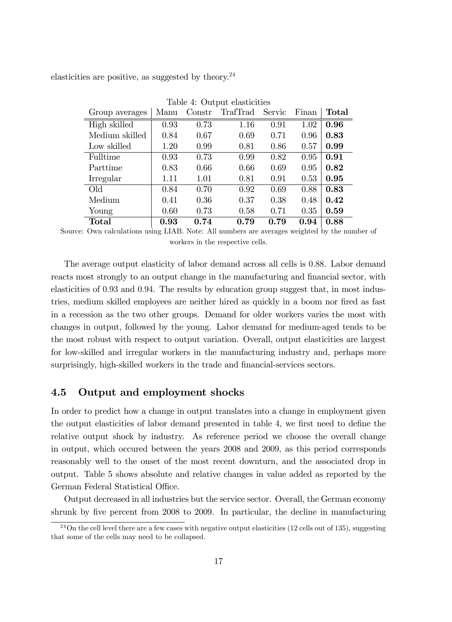elasticities are positive, as suggested by theory. $24$ 

| Table 4: Output elasticities |      |        |          |        |       |              |  |  |  |  |  |
|------------------------------|------|--------|----------|--------|-------|--------------|--|--|--|--|--|
| Group averages               | Manu | Constr | TrafTrad | Servic | Finan | <b>Total</b> |  |  |  |  |  |
| High skilled                 | 0.93 | 0.73   | 1.16     | 0.91   | 1.02  | 0.96         |  |  |  |  |  |
| Medium skilled               | 0.84 | 0.67   | 0.69     | 0.71   | 0.96  | 0.83         |  |  |  |  |  |
| Low skilled                  | 1.20 | 0.99   | 0.81     | 0.86   | 0.57  | 0.99         |  |  |  |  |  |
| Fulltime                     | 0.93 | 0.73   | 0.99     | 0.82   | 0.95  | 0.91         |  |  |  |  |  |
| Parttime                     | 0.83 | 0.66   | 0.66     | 0.69   | 0.95  | 0.82         |  |  |  |  |  |
| Irregular                    | 1.11 | 1.01   | 0.81     | 0.91   | 0.53  | 0.95         |  |  |  |  |  |
| Old                          | 0.84 | 0.70   | 0.92     | 0.69   | 0.88  | 0.83         |  |  |  |  |  |
| Medium                       | 0.41 | 0.36   | 0.37     | 0.38   | 0.48  | 0.42         |  |  |  |  |  |
| Young                        | 0.60 | 0.73   | 0.58     | 0.71   | 0.35  | 0.59         |  |  |  |  |  |
| Total                        | 0.93 | 0.74   | 0.79     | 0.79   | 0.94  | 0.88         |  |  |  |  |  |

Source: Own calculations using LIAB. Note: All numbers are averages weighted by the number of workers in the respective cells.

The average output elasticity of labor demand across all cells is 0:88. Labor demand reacts most strongly to an output change in the manufacturing and financial sector, with elasticities of 0:93 and 0:94. The results by education group suggest that, in most industries, medium skilled employees are neither hired as quickly in a boom nor fired as fast in a recession as the two other groups. Demand for older workers varies the most with changes in output, followed by the young. Labor demand for medium-aged tends to be the most robust with respect to output variation. Overall, output elasticities are largest for low-skilled and irregular workers in the manufacturing industry and, perhaps more surprisingly, high-skilled workers in the trade and financial-services sectors.

#### 4.5 Output and employment shocks

In order to predict how a change in output translates into a change in employment given the output elasticities of labor demand presented in table 4, we first need to define the relative output shock by industry. As reference period we choose the overall change in output, which occured between the years 2008 and 2009, as this period corresponds reasonably well to the onset of the most recent downturn, and the associated drop in output. Table 5 shows absolute and relative changes in value added as reported by the German Federal Statistical Office.

Output decreased in all industries but the service sector. Overall, the German economy shrunk by five percent from 2008 to 2009. In particular, the decline in manufacturing

 $^{24}$ On the cell level there are a few cases with negative output elasticities (12 cells out of 135), suggesting that some of the cells may need to be collapsed.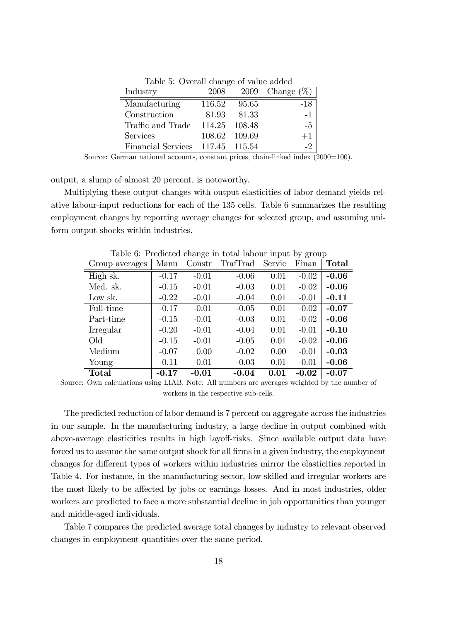| Industry                  | 2008   |               | 2009 Change $(\%)$ |
|---------------------------|--------|---------------|--------------------|
| Manufacturing             | 116.52 | 95.65         | -18                |
| Construction              |        | 81.93 81.33   | $-1$               |
| Traffic and Trade         |        | 114.25 108.48 | $-5$               |
| <b>Services</b>           |        | 108.62 109.69 | $+1$               |
| <b>Financial Services</b> |        | 117.45 115.54 | $-2$               |

Table 5: Overall change of value added

Source: German national accounts, constant prices, chain-linked index  $(2000=100)$ .

output, a slump of almost 20 percent, is noteworthy.

Multiplying these output changes with output elasticities of labor demand yields relative labour-input reductions for each of the 135 cells. Table 6 summarizes the resulting employment changes by reporting average changes for selected group, and assuming uniform output shocks within industries.

| Group averages | Manu    | Constr  | Tapic 0. I redicted change in total habour hiput by group<br>TrafTrad | Servic | Finan   | <b>Total</b> |
|----------------|---------|---------|-----------------------------------------------------------------------|--------|---------|--------------|
| High sk.       | $-0.17$ | $-0.01$ | $-0.06$                                                               | 0.01   | $-0.02$ | $-0.06$      |
| Med. sk.       | $-0.15$ | $-0.01$ | $-0.03$                                                               | 0.01   | $-0.02$ | $-0.06$      |
| Low sk.        | $-0.22$ | $-0.01$ | $-0.04$                                                               | 0.01   | $-0.01$ | $-0.11$      |
| Full-time      | $-0.17$ | $-0.01$ | $-0.05$                                                               | 0.01   | $-0.02$ | $-0.07$      |
| Part-time      | $-0.15$ | $-0.01$ | $-0.03$                                                               | 0.01   | $-0.02$ | $-0.06$      |
| Irregular      | $-0.20$ | $-0.01$ | $-0.04$                                                               | 0.01   | $-0.01$ | $-0.10$      |
| Old            | $-0.15$ | $-0.01$ | $-0.05$                                                               | 0.01   | $-0.02$ | $-0.06$      |
| Medium         | $-0.07$ | 0.00    | $-0.02$                                                               | 0.00   | $-0.01$ | $-0.03$      |
| Young          | $-0.11$ | $-0.01$ | $-0.03$                                                               | 0.01   | $-0.01$ | $-0.06$      |
| <b>Total</b>   | $-0.17$ | $-0.01$ | $-0.04$                                                               | 0.01   | $-0.02$ | $-0.07$      |

Table 6: Predicted change in total labour input by group

Source: Own calculations using LIAB. Note: All numbers are averages weighted by the number of workers in the respective sub-cells.

The predicted reduction of labor demand is 7 percent on aggregate across the industries in our sample. In the manufacturing industry, a large decline in output combined with above-average elasticities results in high layoff-risks. Since available output data have forced us to assume the same output shock for all firms in a given industry, the employment changes for different types of workers within industries mirror the elasticities reported in Table 4. For instance, in the manufacturing sector, low-skilled and irregular workers are the most likely to be affected by jobs or earnings losses. And in most industries, older workers are predicted to face a more substantial decline in job opportunities than younger and middle-aged individuals.

Table 7 compares the predicted average total changes by industry to relevant observed changes in employment quantities over the same period.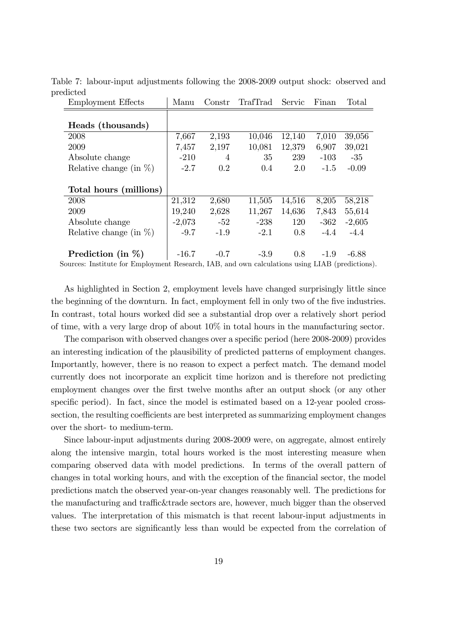| <b>Employment Effects</b>  | Manu     | Constr         | TrafTrad | Servic | Finan  | Total    |
|----------------------------|----------|----------------|----------|--------|--------|----------|
|                            |          |                |          |        |        |          |
| Heads (thousands)          |          |                |          |        |        |          |
| 2008                       | 7,667    | 2,193          | 10,046   | 12,140 | 7,010  | 39,056   |
| 2009                       | 7,457    | 2,197          | 10,081   | 12,379 | 6,907  | 39,021   |
| Absolute change            | $-210$   | $\overline{4}$ | 35       | 239    | $-103$ | $-35$    |
| Relative change (in $\%$ ) | $-2.7$   | 0.2            | 0.4      | 2.0    | $-1.5$ | $-0.09$  |
|                            |          |                |          |        |        |          |
| Total hours (millions)     |          |                |          |        |        |          |
| 2008                       | 21,312   | 2,680          | 11,505   | 14,516 | 8,205  | 58,218   |
| 2009                       | 19,240   | 2,628          | 11,267   | 14,636 | 7,843  | 55,614   |
| Absolute change            | $-2,073$ | $-52$          | $-238$   | 120    | $-362$ | $-2,605$ |
| Relative change (in $\%$ ) | $-9.7$   | $-1.9$         | $-2.1$   | 0.8    | $-4.4$ | $-4.4$   |
|                            |          |                |          |        |        |          |
| Prediction (in $\%$ )      | $-16.7$  | $-0.7$         | $-3.9$   | 0.8    | $-1.9$ | $-6.88$  |

Table 7: labour-input adjustments following the 2008-2009 output shock: observed and predicted

Sources: Institute for Employment Research, IAB, and own calculations using LIAB (predictions).

As highlighted in Section 2, employment levels have changed surprisingly little since the beginning of the downturn. In fact, employment fell in only two of the five industries. In contrast, total hours worked did see a substantial drop over a relatively short period of time, with a very large drop of about 10% in total hours in the manufacturing sector.

The comparison with observed changes over a specific period (here 2008-2009) provides an interesting indication of the plausibility of predicted patterns of employment changes. Importantly, however, there is no reason to expect a perfect match. The demand model currently does not incorporate an explicit time horizon and is therefore not predicting employment changes over the first twelve months after an output shock (or any other specific period). In fact, since the model is estimated based on a 12-year pooled crosssection, the resulting coefficients are best interpreted as summarizing employment changes over the short- to medium-term.

Since labour-input adjustments during 2008-2009 were, on aggregate, almost entirely along the intensive margin, total hours worked is the most interesting measure when comparing observed data with model predictions. In terms of the overall pattern of changes in total working hours, and with the exception of the financial sector, the model predictions match the observed year-on-year changes reasonably well. The predictions for the manufacturing and traffic trade sectors are, however, much bigger than the observed values. The interpretation of this mismatch is that recent labour-input adjustments in these two sectors are significantly less than would be expected from the correlation of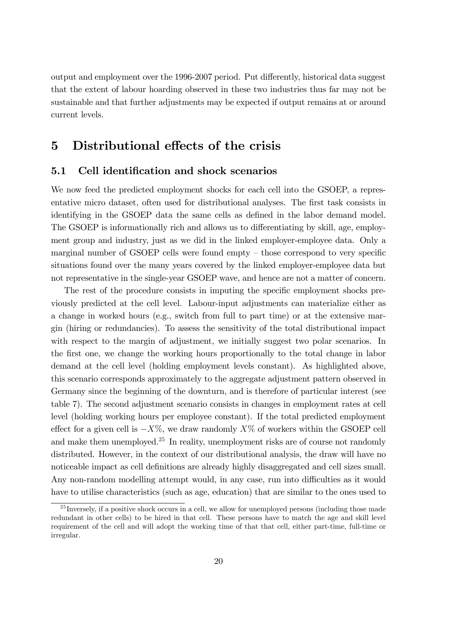output and employment over the 1996-2007 period. Put differently, historical data suggest that the extent of labour hoarding observed in these two industries thus far may not be sustainable and that further adjustments may be expected if output remains at or around current levels.

# 5 Distributional effects of the crisis

#### 5.1 Cell identification and shock scenarios

We now feed the predicted employment shocks for each cell into the GSOEP, a representative micro dataset, often used for distributional analyses. The first task consists in identifying in the GSOEP data the same cells as defined in the labor demand model. The GSOEP is informationally rich and allows us to differentiating by skill, age, employment group and industry, just as we did in the linked employer-employee data. Only a marginal number of GSOEP cells were found empty  $-$  those correspond to very specific situations found over the many years covered by the linked employer-employee data but not representative in the single-year GSOEP wave, and hence are not a matter of concern.

The rest of the procedure consists in imputing the specific employment shocks previously predicted at the cell level. Labour-input adjustments can materialize either as a change in worked hours (e.g., switch from full to part time) or at the extensive margin (hiring or redundancies). To assess the sensitivity of the total distributional impact with respect to the margin of adjustment, we initially suggest two polar scenarios. In the first one, we change the working hours proportionally to the total change in labor demand at the cell level (holding employment levels constant). As highlighted above, this scenario corresponds approximately to the aggregate adjustment pattern observed in Germany since the beginning of the downturn, and is therefore of particular interest (see table 7). The second adjustment scenario consists in changes in employment rates at cell level (holding working hours per employee constant). If the total predicted employment effect for a given cell is  $-X\%$ , we draw randomly  $X\%$  of workers within the GSOEP cell and make them unemployed.<sup>25</sup> In reality, unemployment risks are of course not randomly distributed. However, in the context of our distributional analysis, the draw will have no noticeable impact as cell definitions are already highly disaggregated and cell sizes small. Any non-random modelling attempt would, in any case, run into difficulties as it would have to utilise characteristics (such as age, education) that are similar to the ones used to

 $^{25}$ Inversely, if a positive shock occurs in a cell, we allow for unemployed persons (including those made redundant in other cells) to be hired in that cell. These persons have to match the age and skill level requirement of the cell and will adopt the working time of that that cell, either part-time, full-time or irregular.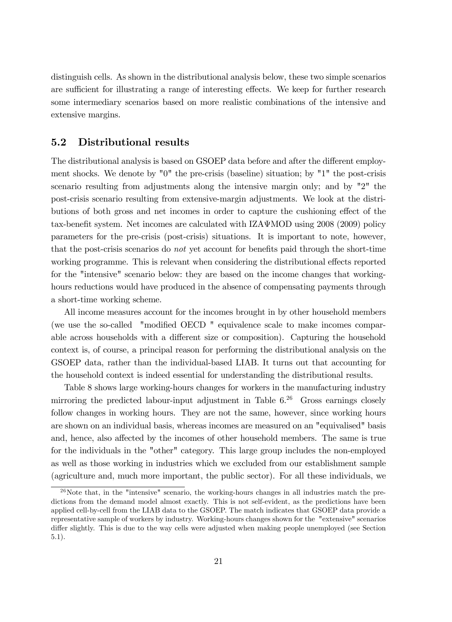distinguish cells. As shown in the distributional analysis below, these two simple scenarios are sufficient for illustrating a range of interesting effects. We keep for further research some intermediary scenarios based on more realistic combinations of the intensive and extensive margins.

## 5.2 Distributional results

The distributional analysis is based on GSOEP data before and after the different employment shocks. We denote by "0" the pre-crisis (baseline) situation; by "1" the post-crisis scenario resulting from adjustments along the intensive margin only; and by "2" the post-crisis scenario resulting from extensive-margin adjustments. We look at the distributions of both gross and net incomes in order to capture the cushioning effect of the tax-benefit system. Net incomes are calculated with  $IZA\Psi MOD$  using 2008 (2009) policy parameters for the pre-crisis (post-crisis) situations. It is important to note, however, that the post-crisis scenarios do not yet account for benefits paid through the short-time working programme. This is relevant when considering the distributional effects reported for the "intensive" scenario below: they are based on the income changes that workinghours reductions would have produced in the absence of compensating payments through a short-time working scheme.

All income measures account for the incomes brought in by other household members (we use the so-called "modified OECD" equivalence scale to make incomes comparable across households with a different size or composition). Capturing the household context is, of course, a principal reason for performing the distributional analysis on the GSOEP data, rather than the individual-based LIAB. It turns out that accounting for the household context is indeed essential for understanding the distributional results.

Table 8 shows large working-hours changes for workers in the manufacturing industry mirroring the predicted labour-input adjustment in Table  $6^{26}$  Gross earnings closely follow changes in working hours. They are not the same, however, since working hours are shown on an individual basis, whereas incomes are measured on an "equivalised" basis and, hence, also affected by the incomes of other household members. The same is true for the individuals in the "other" category. This large group includes the non-employed as well as those working in industries which we excluded from our establishment sample (agriculture and, much more important, the public sector). For all these individuals, we

 $^{26}$ Note that, in the "intensive" scenario, the working-hours changes in all industries match the predictions from the demand model almost exactly. This is not self-evident, as the predictions have been applied cell-by-cell from the LIAB data to the GSOEP. The match indicates that GSOEP data provide a representative sample of workers by industry. Working-hours changes shown for the "extensive" scenarios differ slightly. This is due to the way cells were adjusted when making people unemployed (see Section 5.1).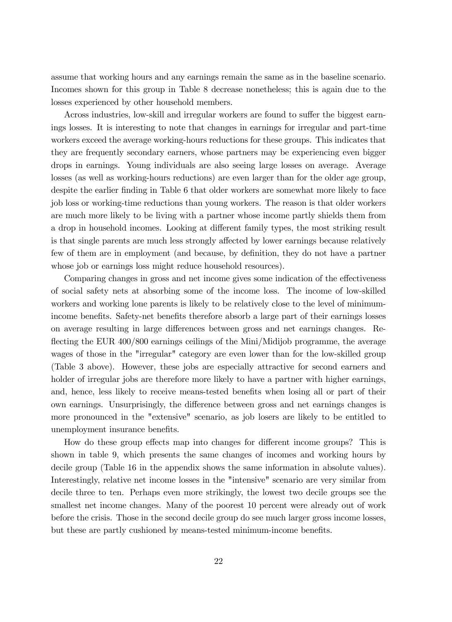assume that working hours and any earnings remain the same as in the baseline scenario. Incomes shown for this group in Table 8 decrease nonetheless; this is again due to the losses experienced by other household members.

Across industries, low-skill and irregular workers are found to suffer the biggest earnings losses. It is interesting to note that changes in earnings for irregular and part-time workers exceed the average working-hours reductions for these groups. This indicates that they are frequently secondary earners, whose partners may be experiencing even bigger drops in earnings. Young individuals are also seeing large losses on average. Average losses (as well as working-hours reductions) are even larger than for the older age group, despite the earlier finding in Table 6 that older workers are somewhat more likely to face job loss or working-time reductions than young workers. The reason is that older workers are much more likely to be living with a partner whose income partly shields them from a drop in household incomes. Looking at different family types, the most striking result is that single parents are much less strongly affected by lower earnings because relatively few of them are in employment (and because, by definition, they do not have a partner whose job or earnings loss might reduce household resources).

Comparing changes in gross and net income gives some indication of the effectiveness of social safety nets at absorbing some of the income loss. The income of low-skilled workers and working lone parents is likely to be relatively close to the level of minimumincome benefits. Safety-net benefits therefore absorb a large part of their earnings losses on average resulting in large differences between gross and net earnings changes. Reflecting the EUR 400/800 earnings ceilings of the Mini/Midijob programme, the average wages of those in the "irregular" category are even lower than for the low-skilled group (Table 3 above). However, these jobs are especially attractive for second earners and holder of irregular jobs are therefore more likely to have a partner with higher earnings, and, hence, less likely to receive means-tested benefits when losing all or part of their own earnings. Unsurprisingly, the difference between gross and net earnings changes is more pronounced in the "extensive" scenario, as job losers are likely to be entitled to unemployment insurance benefits.

How do these group effects map into changes for different income groups? This is shown in table 9, which presents the same changes of incomes and working hours by decile group (Table 16 in the appendix shows the same information in absolute values). Interestingly, relative net income losses in the "intensive" scenario are very similar from decile three to ten. Perhaps even more strikingly, the lowest two decile groups see the smallest net income changes. Many of the poorest 10 percent were already out of work before the crisis. Those in the second decile group do see much larger gross income losses, but these are partly cushioned by means-tested minimum-income benefits.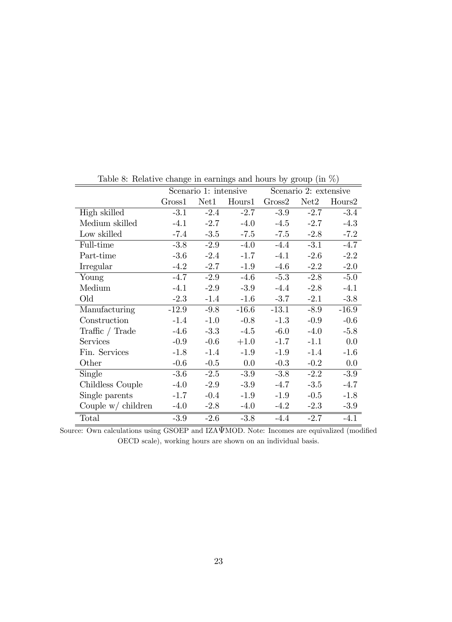|                      |         | Scenario 1: intensive |         | Scenario 2: extensive |        |         |  |
|----------------------|---------|-----------------------|---------|-----------------------|--------|---------|--|
|                      | Gross1  | Net1<br>Hours1        |         | Gross2                | Net2   | Hours2  |  |
| High skilled         | $-3.1$  | $-2.4$                | $-2.7$  | $-3.9$                | $-2.7$ | $-3.4$  |  |
| Medium skilled       | $-4.1$  | $-2.7$                | $-4.0$  | $-4.5$                | $-2.7$ | $-4.3$  |  |
| Low skilled          | $-7.4$  | $-3.5$                | $-7.5$  | $-7.5$                | $-2.8$ | $-7.2$  |  |
| Full-time            | $-3.8$  | $-2.9$                | $-4.0$  | $-4.4$                | $-3.1$ | $-4.7$  |  |
| Part-time            | $-3.6$  | $-2.4$                | $-1.7$  | $-4.1$                | $-2.6$ | $-2.2$  |  |
| Irregular            | $-4.2$  | $-2.7$                | $-1.9$  | $-4.6$                | $-2.2$ | $-2.0$  |  |
| Young                | $-4.7$  | $-2.9$                | $-4.6$  | $-5.3$                | $-2.8$ | $-5.0$  |  |
| Medium               | $-4.1$  | $-2.9$                | $-3.9$  | $-4.4$                | $-2.8$ | $-4.1$  |  |
| Old                  | $-2.3$  | $-1.4$                | $-1.6$  | $-3.7$                | $-2.1$ | $-3.8$  |  |
| Manufacturing        | $-12.9$ | $-9.8$                | $-16.6$ | $-13.1$               | $-8.9$ | $-16.9$ |  |
| Construction         | $-1.4$  | $-1.0$                | $-0.8$  | $-1.3$                | $-0.9$ | $-0.6$  |  |
| Traffic / Trade      | $-4.6$  | $-3.3$                | $-4.5$  | $-6.0$                | $-4.0$ | $-5.8$  |  |
| Services             | $-0.9$  | $-0.6$                | $+1.0$  | $-1.7$                | $-1.1$ | 0.0     |  |
| Fin. Services        | $-1.8$  | $-1.4$                | $-1.9$  | $-1.9$                | $-1.4$ | $-1.6$  |  |
| Other                | $-0.6$  | $-0.5$                | 0.0     | $-0.3$                | $-0.2$ | 0.0     |  |
| Single               | $-3.6$  | $-2.5$                | $-3.9$  | $-3.8$                | $-2.2$ | $-3.9$  |  |
| Childless Couple     | $-4.0$  | $-2.9$                | $-3.9$  | $-4.7$                | $-3.5$ | $-4.7$  |  |
| Single parents       | $-1.7$  | $-0.4$                | $-1.9$  | $-1.9$                | $-0.5$ | $-1.8$  |  |
| Couple $w/$ children | $-4.0$  | $-2.8$                | $-4.0$  | $-4.2$                | $-2.3$ | $-3.9$  |  |
| Total                | $-3.9$  | $-2.6$                | $-3.8$  | $-4.4$                | $-2.7$ | $-4.1$  |  |

Table 8: Relative change in earnings and hours by group (in %)

Source: Own calculations using GSOEP and  $IZA\bar\Psi \text{MOD}$ . Note: Incomes are equivalized (modified OECD scale), working hours are shown on an individual basis.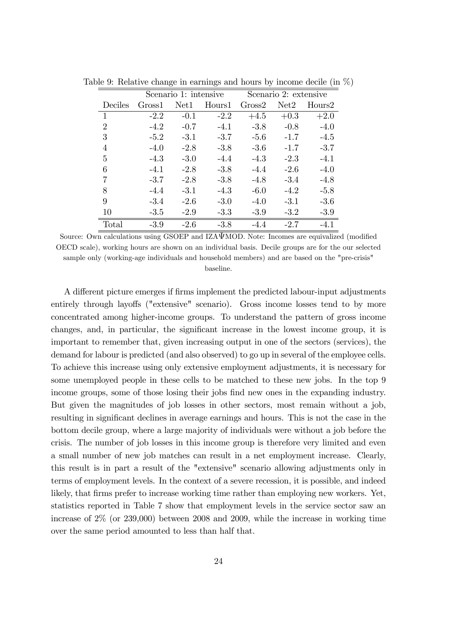|         | Scenario 1: intensive<br>Scenario 2: extensive |        |        |        |        |        |
|---------|------------------------------------------------|--------|--------|--------|--------|--------|
| Deciles | Gross <sub>1</sub>                             | Net1   | Hours1 | Gross2 | Net2   | Hours2 |
| 1       | $-2.2$                                         | $-0.1$ | $-2.2$ | $+4.5$ | $+0.3$ | $+2.0$ |
| 2       | $-4.2$                                         | $-0.7$ | $-4.1$ | $-3.8$ | $-0.8$ | $-4.0$ |
| 3       | $-5.2$                                         | $-3.1$ | $-3.7$ | $-5.6$ | $-1.7$ | $-4.5$ |
| 4       | $-4.0$                                         | $-2.8$ | $-3.8$ | $-3.6$ | $-1.7$ | $-3.7$ |
| 5       | $-4.3$                                         | $-3.0$ | $-4.4$ | $-4.3$ | $-2.3$ | $-4.1$ |
| 6       | $-4.1$                                         | $-2.8$ | $-3.8$ | $-4.4$ | $-2.6$ | $-4.0$ |
| 7       | $-3.7$                                         | $-2.8$ | $-3.8$ | $-4.8$ | $-3.4$ | $-4.8$ |
| 8       | $-4.4$                                         | $-3.1$ | $-4.3$ | $-6.0$ | $-4.2$ | $-5.8$ |
| 9       | $-3.4$                                         | $-2.6$ | $-3.0$ | $-4.0$ | $-3.1$ | $-3.6$ |
| 10      | $-3.5$                                         | $-2.9$ | $-3.3$ | $-3.9$ | $-3.2$ | $-3.9$ |
| Total   | $-3.9$                                         | $-2.6$ | $-3.8$ | $-4.4$ | $-2.7$ | $-41$  |

Table 9: Relative change in earnings and hours by income decile (in %)

Source: Own calculations using GSOEP and  $IZA\bar{W}$ MOD. Note: Incomes are equivalized (modified OECD scale), working hours are shown on an individual basis. Decile groups are for the our selected sample only (working-age individuals and household members) and are based on the "pre-crisis" baseline.

A different picture emerges if firms implement the predicted labour-input adjustments entirely through layoffs ("extensive" scenario). Gross income losses tend to by more concentrated among higher-income groups. To understand the pattern of gross income changes, and, in particular, the significant increase in the lowest income group, it is important to remember that, given increasing output in one of the sectors (services), the demand for labour is predicted (and also observed) to go up in several of the employee cells. To achieve this increase using only extensive employment adjustments, it is necessary for some unemployed people in these cells to be matched to these new jobs. In the top 9 income groups, some of those losing their jobs Önd new ones in the expanding industry. But given the magnitudes of job losses in other sectors, most remain without a job, resulting in significant declines in average earnings and hours. This is not the case in the bottom decile group, where a large majority of individuals were without a job before the crisis. The number of job losses in this income group is therefore very limited and even a small number of new job matches can result in a net employment increase. Clearly, this result is in part a result of the "extensive" scenario allowing adjustments only in terms of employment levels. In the context of a severe recession, it is possible, and indeed likely, that firms prefer to increase working time rather than employing new workers. Yet, statistics reported in Table 7 show that employment levels in the service sector saw an increase of 2% (or 239,000) between 2008 and 2009, while the increase in working time over the same period amounted to less than half that.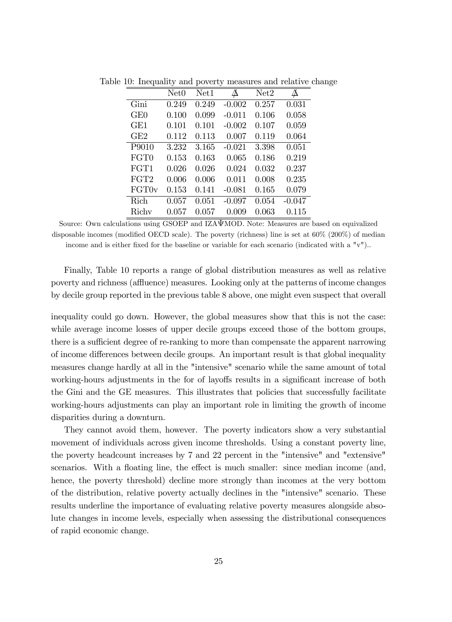|                  | Net0  | Net <sub>1</sub> | ⅍        | Net <sub>2</sub> | $\cancel{\Delta}$ |
|------------------|-------|------------------|----------|------------------|-------------------|
| Gini             | 0.249 | 0.249            | $-0.002$ | 0.257            | 0.031             |
| GE0              | 0.100 | 0.099            | $-0.011$ | 0.106            | 0.058             |
| GE <sub>1</sub>  | 0.101 | 0.101            | $-0.002$ | 0.107            | 0.059             |
| GE2              | 0.112 | 0.113            | 0.007    | 0.119            | 0.064             |
| P9010            | 3.232 | 3.165            | $-0.021$ | 3.398            | 0.051             |
| FGT0             | 0.153 | 0.163            | 0.065    | 0.186            | 0.219             |
| FGT1             | 0.026 | 0.026            | 0.024    | 0.032            | 0.237             |
| FGT <sub>2</sub> | 0.006 | 0.006            | 0.011    | 0.008            | 0.235             |
| FGT0v            | 0.153 | 0.141            | $-0.081$ | 0.165            | 0.079             |
| Rich             | 0.057 | 0.051            | $-0.097$ | 0.054            | $-0.047$          |
| Richy            | 0.057 | 0.057            | 0.009    | 0.063            | 0.115             |

Table 10: Inequality and poverty measures and relative change

Source: Own calculations using GSOEP and  $IZA\overline{\Psi}MOD$ . Note: Measures are based on equivalized disposable incomes (modified OECD scale). The poverty (richness) line is set at  $60\%$  (200%) of median income and is either fixed for the baseline or variable for each scenario (indicated with a " $v$ ")..

Finally, Table 10 reports a range of global distribution measures as well as relative poverty and richness (affluence) measures. Looking only at the patterns of income changes by decile group reported in the previous table 8 above, one might even suspect that overall

inequality could go down. However, the global measures show that this is not the case: while average income losses of upper decile groups exceed those of the bottom groups, there is a sufficient degree of re-ranking to more than compensate the apparent narrowing of income differences between decile groups. An important result is that global inequality measures change hardly at all in the "intensive" scenario while the same amount of total working-hours adjustments in the for of layoffs results in a significant increase of both the Gini and the GE measures. This illustrates that policies that successfully facilitate working-hours adjustments can play an important role in limiting the growth of income disparities during a downturn.

They cannot avoid them, however. The poverty indicators show a very substantial movement of individuals across given income thresholds. Using a constant poverty line, the poverty headcount increases by 7 and 22 percent in the "intensive" and "extensive" scenarios. With a floating line, the effect is much smaller: since median income (and, hence, the poverty threshold) decline more strongly than incomes at the very bottom of the distribution, relative poverty actually declines in the "intensive" scenario. These results underline the importance of evaluating relative poverty measures alongside absolute changes in income levels, especially when assessing the distributional consequences of rapid economic change.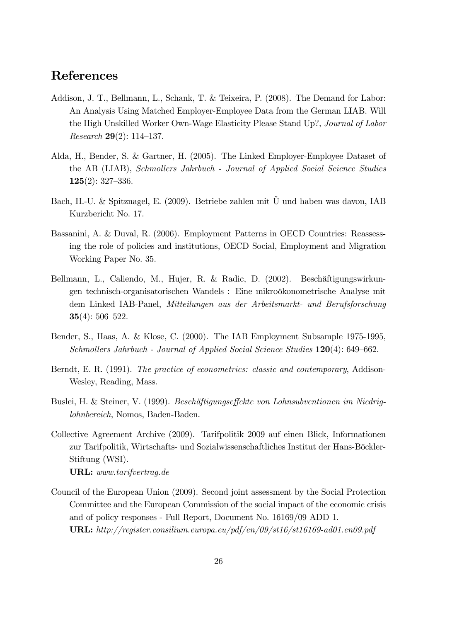# References

- Addison, J. T., Bellmann, L., Schank, T. & Teixeira, P. (2008). The Demand for Labor: An Analysis Using Matched Employer-Employee Data from the German LIAB. Will the High Unskilled Worker Own-Wage Elasticity Please Stand Up?, Journal of Labor Research 29(2): 114-137.
- Alda, H., Bender, S. & Gartner, H. (2005). The Linked Employer-Employee Dataset of the AB (LIAB), Schmollers Jahrbuch - Journal of Applied Social Science Studies  $125(2): 327 - 336.$
- Bach, H.-U. & Spitznagel, E. (2009). Betriebe zahlen mit Ü und haben was davon, IAB Kurzbericht No. 17.
- Bassanini, A. & Duval, R. (2006). Employment Patterns in OECD Countries: Reassessing the role of policies and institutions, OECD Social, Employment and Migration Working Paper No. 35.
- Bellmann, L., Caliendo, M., Hujer, R. & Radic, D. (2002). Beschäftigungswirkungen technisch-organisatorischen Wandels : Eine mikroökonometrische Analyse mit dem Linked IAB-Panel, Mitteilungen aus der Arbeitsmarkt- und Berufsforschung **35**(4): 506–522.
- Bender, S., Haas, A. & Klose, C. (2000). The IAB Employment Subsample 1975-1995, Schmollers Jahrbuch - Journal of Applied Social Science Studies  $120(4)$ : 649–662.
- Berndt, E. R. (1991). *The practice of econometrics: classic and contemporary*, Addison-Wesley, Reading, Mass.
- Buslei, H. & Steiner, V. (1999). Beschäftigungseffekte von Lohnsubventionen im Niedriglohnbereich, Nomos, Baden-Baden.
- Collective Agreement Archive (2009). Tarifpolitik 2009 auf einen Blick, Informationen zur Tarifpolitik, Wirtschafts- und Sozialwissenschaftliches Institut der Hans-Böckler-Stiftung (WSI). URL: www.tarifvertrag.de
- Council of the European Union (2009). Second joint assessment by the Social Protection Committee and the European Commission of the social impact of the economic crisis and of policy responses - Full Report, Document No. 16169/09 ADD 1. URL: http://register.consilium.europa.eu/pdf/en/09/st16/st16169-ad01.en09.pdf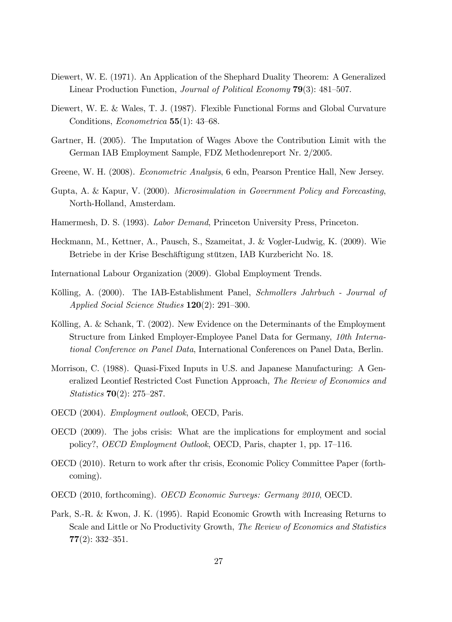- Diewert, W. E. (1971). An Application of the Shephard Duality Theorem: A Generalized Linear Production Function, *Journal of Political Economy* **79**(3):  $481-507$ .
- Diewert, W. E. & Wales, T. J. (1987). Flexible Functional Forms and Global Curvature Conditions, *Econometrica* **55** $(1)$ : 43–68.
- Gartner, H. (2005). The Imputation of Wages Above the Contribution Limit with the German IAB Employment Sample, FDZ Methodenreport Nr. 2/2005.
- Greene, W. H. (2008). *Econometric Analysis*, 6 edn, Pearson Prentice Hall, New Jersey.
- Gupta, A. & Kapur, V. (2000). Microsimulation in Government Policy and Forecasting, North-Holland, Amsterdam.
- Hamermesh, D. S. (1993). Labor Demand, Princeton University Press, Princeton.
- Heckmann, M., Kettner, A., Pausch, S., Szameitat, J. & Vogler-Ludwig, K. (2009). Wie Betriebe in der Krise Beschäftigung stützen, IAB Kurzbericht No. 18.
- International Labour Organization (2009). Global Employment Trends.
- Kölling, A. (2000). The IAB-Establishment Panel, Schmollers Jahrbuch Journal of Applied Social Science Studies  $120(2)$ : 291–300.
- Kölling, A. & Schank, T.  $(2002)$ . New Evidence on the Determinants of the Employment Structure from Linked Employer-Employee Panel Data for Germany, 10th International Conference on Panel Data, International Conferences on Panel Data, Berlin.
- Morrison, C. (1988). Quasi-Fixed Inputs in U.S. and Japanese Manufacturing: A Generalized Leontief Restricted Cost Function Approach, The Review of Economics and Statistics **70** $(2)$ : 275–287.
- OECD (2004). Employment outlook, OECD, Paris.
- OECD (2009). The jobs crisis: What are the implications for employment and social policy?, *OECD Employment Outlook*, *OECD*, Paris, chapter 1, pp. 17–116.
- OECD (2010). Return to work after thr crisis, Economic Policy Committee Paper (forthcoming).
- OECD (2010, forthcoming). OECD Economic Surveys: Germany 2010, OECD.
- Park, S.-R. & Kwon, J. K. (1995). Rapid Economic Growth with Increasing Returns to Scale and Little or No Productivity Growth, The Review of Economics and Statistics  $77(2): 332 - 351.$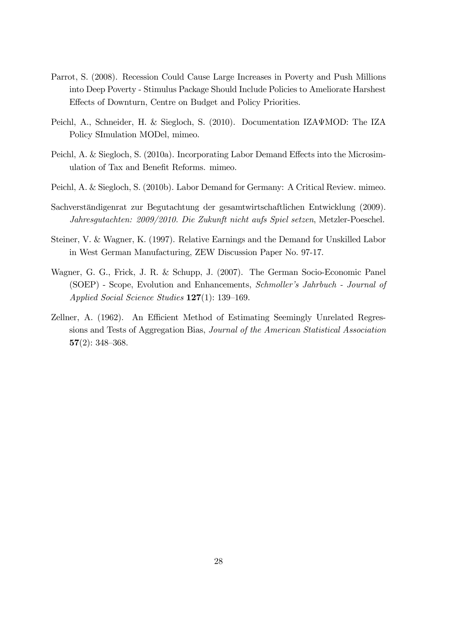- Parrot, S. (2008). Recession Could Cause Large Increases in Poverty and Push Millions into Deep Poverty - Stimulus Package Should Include Policies to Ameliorate Harshest Effects of Downturn, Centre on Budget and Policy Priorities.
- Peichl, A., Schneider, H. & Siegloch, S. (2010). Documentation  $IZA\Psi MOD$ : The IZA Policy SImulation MODel, mimeo.
- Peichl, A. & Siegloch, S. (2010a). Incorporating Labor Demand Effects into the Microsimulation of Tax and Benefit Reforms. mimeo.
- Peichl, A. & Siegloch, S. (2010b). Labor Demand for Germany: A Critical Review. mimeo.
- Sachverst‰ndigenrat zur Begutachtung der gesamtwirtschaftlichen Entwicklung (2009). Jahresgutachten: 2009/2010. Die Zukunft nicht aufs Spiel setzen, Metzler-Poeschel.
- Steiner, V. & Wagner, K. (1997). Relative Earnings and the Demand for Unskilled Labor in West German Manufacturing, ZEW Discussion Paper No. 97-17.
- Wagner, G. G., Frick, J. R. & Schupp, J. (2007). The German Socio-Economic Panel (SOEP) - Scope, Evolution and Enhancements, Schmoller's Jahrbuch - Journal of Applied Social Science Studies  $127(1)$ : 139–169.
- Zellner, A. (1962). An Efficient Method of Estimating Seemingly Unrelated Regressions and Tests of Aggregation Bias, Journal of the American Statistical Association 57(2):  $348-368$ .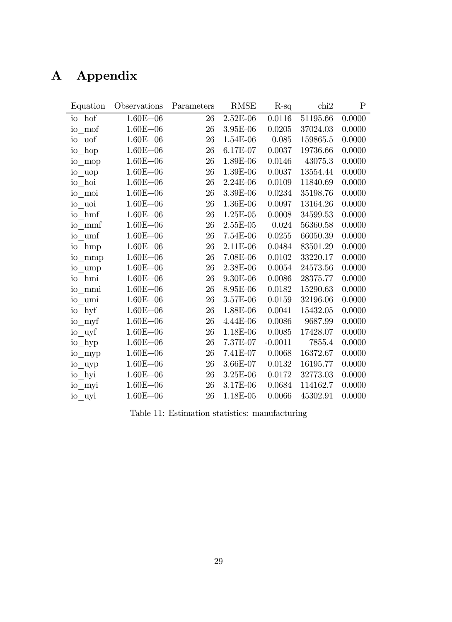# A Appendix

| Equation     | Observations | Parameters | <b>RMSE</b> | $R-sq$    | chi2     | $\mathbf{P}$ |
|--------------|--------------|------------|-------------|-----------|----------|--------------|
| $io_{n}$ hof | $1.60E + 06$ | 26         | $2.52E-06$  | 0.0116    | 51195.66 | 0.0000       |
| io mof       | $1.60E + 06$ | 26         | 3.95E-06    | 0.0205    | 37024.03 | 0.0000       |
| io uof       | $1.60E + 06$ | 26         | 1.54E-06    | 0.085     | 159865.5 | 0.0000       |
| io hop       | $1.60E + 06$ | 26         | 6.17E-07    | 0.0037    | 19736.66 | 0.0000       |
| io mop       | $1.60E + 06$ | 26         | 1.89E-06    | 0.0146    | 43075.3  | 0.0000       |
| io uop       | $1.60E + 06$ | 26         | 1.39E-06    | 0.0037    | 13554.44 | 0.0000       |
| io hoi       | $1.60E + 06$ | 26         | 2.24E-06    | 0.0109    | 11840.69 | 0.0000       |
| io moi       | $1.60E + 06$ | 26         | 3.39E-06    | 0.0234    | 35198.76 | 0.0000       |
| io uoi       | $1.60E + 06$ | 26         | 1.36E-06    | 0.0097    | 13164.26 | 0.0000       |
| io hmf       | $1.60E + 06$ | 26         | 1.25E-05    | 0.0008    | 34599.53 | 0.0000       |
| io mmf       | $1.60E + 06$ | 26         | $2.55E-05$  | 0.024     | 56360.58 | 0.0000       |
| io umf       | $1.60E + 06$ | 26         | 7.54E-06    | 0.0255    | 66050.39 | 0.0000       |
| io hmp       | $1.60E + 06$ | 26         | 2.11E-06    | 0.0484    | 83501.29 | 0.0000       |
| io mmp       | $1.60E + 06$ | 26         | 7.08E-06    | 0.0102    | 33220.17 | 0.0000       |
| io ump       | $1.60E + 06$ | 26         | 2.38E-06    | 0.0054    | 24573.56 | 0.0000       |
| io hmi       | $1.60E + 06$ | 26         | 9.30E-06    | 0.0086    | 28375.77 | 0.0000       |
| io mmi       | $1.60E + 06$ | 26         | 8.95E-06    | 0.0182    | 15290.63 | 0.0000       |
| io umi       | $1.60E + 06$ | 26         | 3.57E-06    | 0.0159    | 32196.06 | 0.0000       |
| io hyf       | $1.60E + 06$ | 26         | 1.88E-06    | 0.0041    | 15432.05 | 0.0000       |
| io myf       | $1.60E + 06$ | 26         | 4.44E-06    | 0.0086    | 9687.99  | 0.0000       |
| io uyf       | $1.60E + 06$ | 26         | 1.18E-06    | 0.0085    | 17428.07 | 0.0000       |
| io hyp       | $1.60E + 06$ | 26         | 7.37E-07    | $-0.0011$ | 7855.4   | 0.0000       |
| io myp       | $1.60E + 06$ | 26         | 7.41E-07    | 0.0068    | 16372.67 | 0.0000       |
| io uyp       | $1.60E + 06$ | 26         | 3.66E-07    | 0.0132    | 16195.77 | 0.0000       |
| io hyi       | $1.60E + 06$ | 26         | 3.25E-06    | 0.0172    | 32773.03 | 0.0000       |
| io myi       | $1.60E + 06$ | 26         | 3.17E-06    | 0.0684    | 114162.7 | 0.0000       |
| io uyi       | $1.60E + 06$ | 26         | 1.18E-05    | 0.0066    | 45302.91 | 0.0000       |

Table 11: Estimation statistics: manufacturing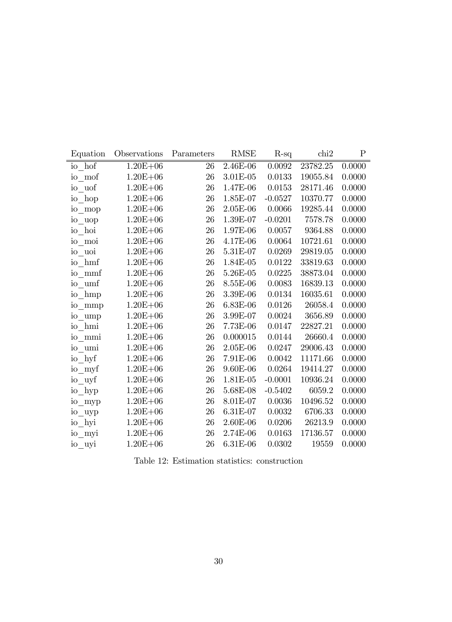| Equation            | Observations | Parameters | <b>RMSE</b> | $R-sq$    | chi2     | $\mathbf P$ |
|---------------------|--------------|------------|-------------|-----------|----------|-------------|
| $io_$ hof           | $1.20E + 06$ | 26         | 2.46E-06    | 0.0092    | 23782.25 | 0.0000      |
| io mof              | $1.20E + 06$ | 26         | 3.01E-05    | 0.0133    | 19055.84 | 0.0000      |
| io uof              | $1.20E + 06$ | 26         | 1.47E-06    | 0.0153    | 28171.46 | 0.0000      |
| io_hop              | $1.20E + 06$ | 26         | 1.85E-07    | $-0.0527$ | 10370.77 | 0.0000      |
| io mop              | $1.20E + 06$ | 26         | 2.05E-06    | 0.0066    | 19285.44 | 0.0000      |
| io uop              | $1.20E + 06$ | 26         | 1.39E-07    | $-0.0201$ | 7578.78  | 0.0000      |
| io_hoi              | $1.20E + 06$ | 26         | 1.97E-06    | 0.0057    | 9364.88  | 0.0000      |
| io moi              | $1.20E + 06$ | 26         | 4.17E-06    | 0.0064    | 10721.61 | 0.0000      |
| io uoi              | $1.20E + 06$ | 26         | 5.31E-07    | 0.0269    | 29819.05 | 0.0000      |
| $io_{\_}hmf$        | $1.20E + 06$ | 26         | 1.84E-05    | 0.0122    | 33819.63 | 0.0000      |
| $\frac{10}{10}$ mmf | $1.20E + 06$ | 26         | 5.26E-05    | 0.0225    | 38873.04 | $0.0000\,$  |
| io umf              | $1.20E + 06$ | 26         | 8.55E-06    | 0.0083    | 16839.13 | 0.0000      |
| io hmp              | $1.20E + 06$ | 26         | 3.39E-06    | 0.0134    | 16035.61 | 0.0000      |
| io mmp              | $1.20E + 06$ | 26         | 6.83E-06    | 0.0126    | 26058.4  | 0.0000      |
| io ump              | $1.20E + 06$ | 26         | 3.99E-07    | 0.0024    | 3656.89  | 0.0000      |
| io hmi              | $1.20E + 06$ | 26         | 7.73E-06    | 0.0147    | 22827.21 | 0.0000      |
| io mmi              | $1.20E + 06$ | 26         | 0.000015    | 0.0144    | 26660.4  | 0.0000      |
| io umi              | $1.20E + 06$ | 26         | $2.05E-06$  | 0.0247    | 29006.43 | 0.0000      |
| io hyf              | $1.20E + 06$ | 26         | 7.91E-06    | 0.0042    | 11171.66 | 0.0000      |
| io myf              | $1.20E + 06$ | 26         | $9.60E-06$  | 0.0264    | 19414.27 | 0.0000      |
| io uyf              | $1.20E + 06$ | 26         | 1.81E-05    | $-0.0001$ | 10936.24 | 0.0000      |
| io hyp              | $1.20E + 06$ | 26         | 5.68E-08    | $-0.5402$ | 6059.2   | 0.0000      |
| io myp              | $1.20E + 06$ | 26         | 8.01E-07    | 0.0036    | 10496.52 | 0.0000      |
| io uyp              | $1.20E + 06$ | 26         | 6.31E-07    | 0.0032    | 6706.33  | 0.0000      |
| io hyi              | $1.20E + 06$ | 26         | 2.60E-06    | 0.0206    | 26213.9  | 0.0000      |
| io myi              | $1.20E + 06$ | 26         | 2.74E-06    | 0.0163    | 17136.57 | 0.0000      |
| io uyi              | $1.20E + 06$ | 26         | 6.31E-06    | 0.0302    | 19559    | 0.0000      |

Table 12: Estimation statistics: construction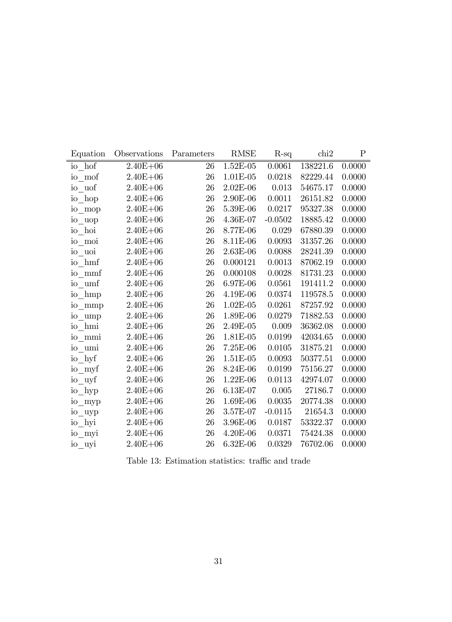| Equation | Observations | Parameters | <b>RMSE</b> | $R-sq$    | chi2     | $\mathbf P$ |
|----------|--------------|------------|-------------|-----------|----------|-------------|
| $io_hot$ | $2.40E + 06$ | 26         | $1.52E-05$  | 0.0061    | 138221.6 | 0.0000      |
| io mof   | $2.40E + 06$ | 26         | $1.01E-05$  | 0.0218    | 82229.44 | 0.0000      |
| io uof   | $2.40E + 06$ | 26         | $2.02E-06$  | 0.013     | 54675.17 | 0.0000      |
| io hop   | $2.40E + 06$ | 26         | 2.90E-06    | 0.0011    | 26151.82 | 0.0000      |
| io mop   | $2.40E + 06$ | 26         | 5.39E-06    | 0.0217    | 95327.38 | 0.0000      |
| io uop   | $2.40E + 06$ | 26         | 4.36E-07    | $-0.0502$ | 18885.42 | 0.0000      |
| io hoi   | $2.40E + 06$ | 26         | 8.77E-06    | 0.029     | 67880.39 | 0.0000      |
| io moi   | $2.40E + 06$ | 26         | 8.11E-06    | 0.0093    | 31357.26 | 0.0000      |
| io uoi   | $2.40E + 06$ | 26         | $2.63E-06$  | 0.0088    | 28241.39 | 0.0000      |
| io hmf   | $2.40E + 06$ | 26         | 0.000121    | 0.0013    | 87062.19 | 0.0000      |
| io mmf   | $2.40E + 06$ | 26         | 0.000108    | 0.0028    | 81731.23 | 0.0000      |
| io umf   | $2.40E + 06$ | 26         | 6.97E-06    | 0.0561    | 191411.2 | 0.0000      |
| io hmp   | $2.40E + 06$ | 26         | 4.19E-06    | 0.0374    | 119578.5 | 0.0000      |
| io mmp   | $2.40E + 06$ | 26         | $1.02E-05$  | 0.0261    | 87257.92 | 0.0000      |
| io ump   | $2.40E + 06$ | 26         | 1.89E-06    | 0.0279    | 71882.53 | 0.0000      |
| io hmi   | $2.40E + 06$ | 26         | 2.49E-05    | 0.009     | 36362.08 | 0.0000      |
| io mmi   | $2.40E + 06$ | 26         | 1.81E-05    | 0.0199    | 42034.65 | 0.0000      |
| io umi   | $2.40E + 06$ | 26         | 7.25E-06    | 0.0105    | 31875.21 | 0.0000      |
| io hyf   | $2.40E + 06$ | 26         | $1.51E-05$  | 0.0093    | 50377.51 | 0.0000      |
| io myf   | $2.40E + 06$ | 26         | 8.24E-06    | 0.0199    | 75156.27 | 0.0000      |
| io_uyf   | $2.40E + 06$ | 26         | 1.22E-06    | 0.0113    | 42974.07 | 0.0000      |
| io hyp   | $2.40E + 06$ | 26         | 6.13E-07    | 0.005     | 27186.7  | 0.0000      |
| io myp   | $2.40E + 06$ | 26         | 1.69E-06    | 0.0035    | 20774.38 | 0.0000      |
| io uyp   | $2.40E + 06$ | 26         | 3.57E-07    | $-0.0115$ | 21654.3  | 0.0000      |
| io hyi   | $2.40E + 06$ | 26         | 3.96E-06    | 0.0187    | 53322.37 | 0.0000      |
| io myi   | $2.40E + 06$ | 26         | 4.20E-06    | 0.0371    | 75424.38 | 0.0000      |
| io uyi   | $2.40E + 06$ | 26         | 6.32E-06    | 0.0329    | 76702.06 | 0.0000      |

Table 13: Estimation statistics: traffic and trade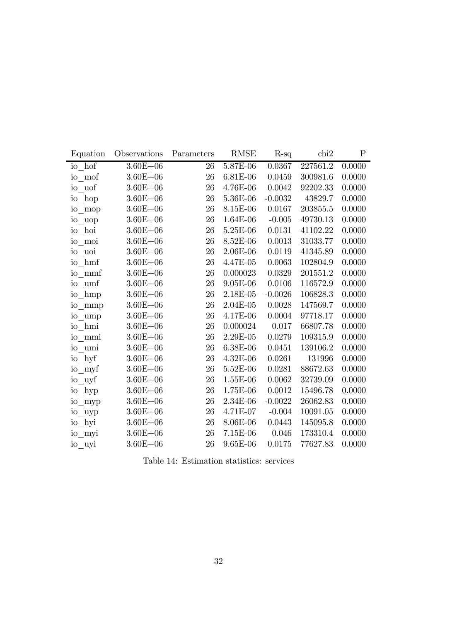| Equation                | Observations | Parameters | <b>RMSE</b> | $R-sq$    | $\mathrm{chi}2$ | $\mathbf P$ |
|-------------------------|--------------|------------|-------------|-----------|-----------------|-------------|
| $io\_hof$               | $3.60E + 06$ | 26         | 5.87E-06    | 0.0367    | 227561.2        | 0.0000      |
| io mof                  | $3.60E + 06$ | 26         | 6.81E-06    | 0.0459    | 300981.6        | 0.0000      |
| io uof                  | $3.60E + 06$ | 26         | 4.76E-06    | 0.0042    | 92202.33        | 0.0000      |
| io hop                  | $3.60E + 06$ | 26         | 5.36E-06    | $-0.0032$ | 43829.7         | 0.0000      |
| io mop                  | $3.60E + 06$ | 26         | 8.15E-06    | 0.0167    | 203855.5        | 0.0000      |
| io uop                  | $3.60E + 06$ | 26         | 1.64E-06    | $-0.005$  | 49730.13        | 0.0000      |
| io hoi                  | $3.60E + 06$ | 26         | 5.25E-06    | 0.0131    | 41102.22        | 0.0000      |
| io moi                  | $3.60E + 06$ | 26         | 8.52E-06    | 0.0013    | 31033.77        | 0.0000      |
| io uoi                  | $3.60E + 06$ | 26         | $2.06E-06$  | 0.0119    | 41345.89        | 0.0000      |
| $io_{\_}hmf$            | $3.60E + 06$ | 26         | 4.47E-05    | 0.0063    | 102804.9        | 0.0000      |
| $\frac{10}{\text{mmf}}$ | $3.60E + 06$ | 26         | 0.000023    | 0.0329    | 201551.2        | 0.0000      |
| io umf                  | $3.60E + 06$ | 26         | $9.05E-06$  | 0.0106    | 116572.9        | 0.0000      |
| io hmp                  | $3.60E + 06$ | 26         | 2.18E-05    | $-0.0026$ | 106828.3        | 0.0000      |
| io mmp                  | $3.60E + 06$ | 26         | 2.04E-05    | 0.0028    | 147569.7        | 0.0000      |
| io ump                  | $3.60E + 06$ | 26         | 4.17E-06    | 0.0004    | 97718.17        | 0.0000      |
| io hmi                  | $3.60E + 06$ | 26         | 0.000024    | 0.017     | 66807.78        | 0.0000      |
| io mmi                  | $3.60E + 06$ | 26         | 2.29E-05    | 0.0279    | 109315.9        | 0.0000      |
| io umi                  | $3.60E + 06$ | 26         | $6.38E-06$  | 0.0451    | 139106.2        | 0.0000      |
| io hyf                  | $3.60E + 06$ | 26         | 4.32E-06    | 0.0261    | 131996          | 0.0000      |
| $\frac{10}{\text{m}}$   | $3.60E + 06$ | 26         | 5.52E-06    | 0.0281    | 88672.63        | 0.0000      |
| io uyf                  | $3.60E + 06$ | 26         | 1.55E-06    | 0.0062    | 32739.09        | 0.0000      |
| io hyp                  | $3.60E + 06$ | 26         | 1.75E-06    | 0.0012    | 15496.78        | 0.0000      |
| io myp                  | $3.60E + 06$ | 26         | 2.34E-06    | $-0.0022$ | 26062.83        | 0.0000      |
| io uyp                  | $3.60E + 06$ | 26         | 4.71E-07    | $-0.004$  | 10091.05        | 0.0000      |
| io hyi                  | $3.60E + 06$ | 26         | 8.06E-06    | 0.0443    | 145095.8        | 0.0000      |
| io myi                  | $3.60E + 06$ | 26         | 7.15E-06    | 0.046     | 173310.4        | 0.0000      |
| io uyi                  | $3.60E + 06$ | 26         | $9.65E-06$  | 0.0175    | 77627.83        | 0.0000      |

Table 14: Estimation statistics: services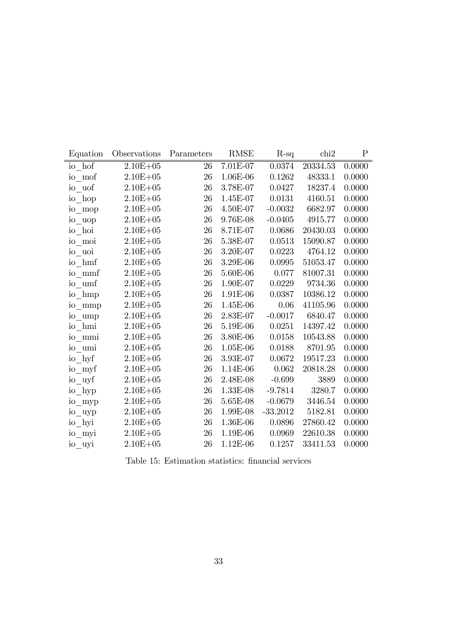| Equation | Observations | Parameters | <b>RMSE</b> | $R-sq$     | $\chi$   | $\mathbf P$ |
|----------|--------------|------------|-------------|------------|----------|-------------|
| $io_hot$ | $2.10E + 05$ | 26         | 7.01E-07    | 0.0374     | 20334.53 | 0.0000      |
| io mof   | $2.10E + 05$ | 26         | $1.06E-06$  | 0.1262     | 48333.1  | 0.0000      |
| io uof   | $2.10E + 05$ | 26         | 3.78E-07    | 0.0427     | 18237.4  | 0.0000      |
| io hop   | $2.10E + 05$ | 26         | 1.45E-07    | 0.0131     | 4160.51  | 0.0000      |
| io mop   | $2.10E + 05$ | 26         | 4.50E-07    | $-0.0032$  | 6682.97  | 0.0000      |
| io uop   | $2.10E + 05$ | 26         | 9.76E-08    | $-0.0405$  | 4915.77  | 0.0000      |
| io hoi   | $2.10E + 05$ | 26         | 8.71E-07    | 0.0686     | 20430.03 | 0.0000      |
| io moi   | $2.10E + 05$ | 26         | 5.38E-07    | 0.0513     | 15090.87 | 0.0000      |
| io uoi   | $2.10E + 05$ | 26         | 3.20E-07    | 0.0223     | 4764.12  | 0.0000      |
| io hmf   | $2.10E + 05$ | 26         | 3.29E-06    | 0.0995     | 51053.47 | 0.0000      |
| io mmf   | $2.10E + 05$ | 26         | 5.60E-06    | 0.077      | 81007.31 | 0.0000      |
| io umf   | $2.10E + 05$ | 26         | 1.90E-07    | 0.0229     | 9734.36  | 0.0000      |
| io hmp   | $2.10E + 05$ | 26         | 1.91E-06    | 0.0387     | 10386.12 | 0.0000      |
| io mmp   | $2.10E + 05$ | 26         | 1.45E-06    | 0.06       | 41105.96 | 0.0000      |
| io ump   | $2.10E + 05$ | 26         | 2.83E-07    | $-0.0017$  | 6840.47  | 0.0000      |
| io hmi   | $2.10E + 05$ | 26         | 5.19E-06    | 0.0251     | 14397.42 | 0.0000      |
| io mmi   | $2.10E + 05$ | 26         | 3.80E-06    | 0.0158     | 10543.88 | 0.0000      |
| io umi   | $2.10E + 05$ | 26         | $1.05E-06$  | 0.0188     | 8701.95  | 0.0000      |
| io hyf   | $2.10E + 05$ | 26         | 3.93E-07    | 0.0672     | 19517.23 | 0.0000      |
| io myf   | $2.10E + 05$ | 26         | 1.14E-06    | 0.062      | 20818.28 | 0.0000      |
| io_uyf   | $2.10E + 05$ | 26         | 2.48E-08    | $-0.699$   | 3889     | 0.0000      |
| io hyp   | $2.10E + 05$ | 26         | 1.33E-08    | $-9.7814$  | 3280.7   | 0.0000      |
| io myp   | $2.10E + 05$ | 26         | 5.65E-08    | $-0.0679$  | 3446.54  | 0.0000      |
| io uyp   | $2.10E + 05$ | 26         | 1.99E-08    | $-33.2012$ | 5182.81  | 0.0000      |
| io hyi   | $2.10E + 05$ | 26         | 1.36E-06    | 0.0896     | 27860.42 | 0.0000      |
| io myi   | $2.10E + 05$ | 26         | 1.19E-06    | 0.0969     | 22610.38 | 0.0000      |
| io uyi   | $2.10E + 05$ | 26         | 1.12E-06    | 0.1257     | 33411.53 | 0.0000      |

Table 15: Estimation statistics: financial services